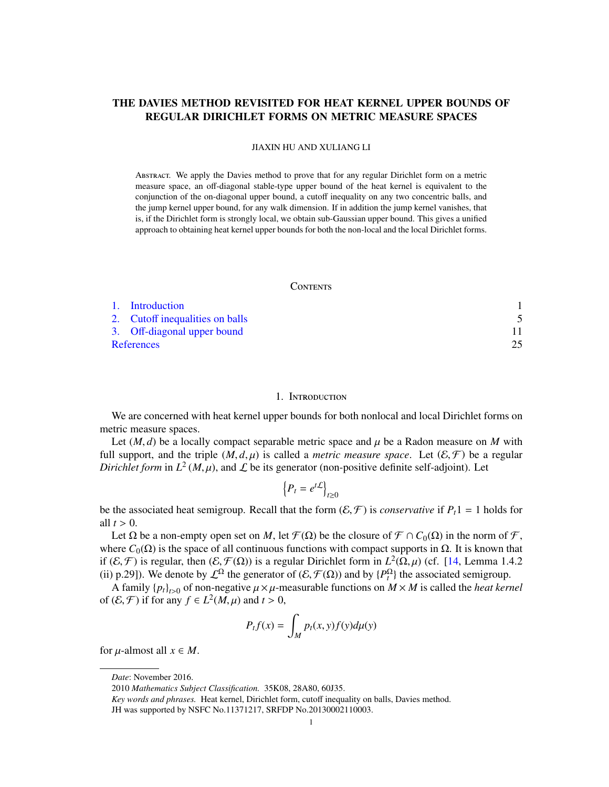# THE DAVIES METHOD REVISITED FOR HEAT KERNEL UPPER BOUNDS OF REGULAR DIRICHLET FORMS ON METRIC MEASURE SPACES

JIAXIN HU AND XULIANG LI

Abstract. We apply the Davies method to prove that for any regular Dirichlet form on a metric measure space, an off-diagonal stable-type upper bound of the heat kernel is equivalent to the conjunction of the on-diagonal upper bound, a cutoff inequality on any two concentric balls, and the jump kernel upper bound, for any walk dimension. If in addition the jump kernel vanishes, that is, if the Dirichlet form is strongly local, we obtain sub-Gaussian upper bound. This gives a unified approach to obtaining heat kernel upper bounds for both the non-local and the local Dirichlet forms.

### **CONTENTS**

|            | 1. Introduction                 |  |
|------------|---------------------------------|--|
|            | 2. Cutoff inequalities on balls |  |
|            | 3. Off-diagonal upper bound     |  |
| References |                                 |  |

#### 1. INTRODUCTION

<span id="page-0-0"></span>We are concerned with heat kernel upper bounds for both nonlocal and local Dirichlet forms on metric measure spaces.

Let  $(M, d)$  be a locally compact separable metric space and  $\mu$  be a Radon measure on M with full support, and the triple  $(M, d, \mu)$  is called a *metric measure space*. Let  $(\mathcal{E}, \mathcal{F})$  be a regular *Dirichlet form* in  $L^2(M,\mu)$ , and  $\mathcal L$  be its generator (non-positive definite self-adjoint). Let

$$
\left\{P_t = e^{t\mathcal{L}}\right\}_{t\geq 0}
$$

be the associated heat semigroup. Recall that the form  $(\mathcal{E}, \mathcal{F})$  is *conservative* if  $P_t$ 1 = 1 holds for all  $t > 0$ .

Let  $\Omega$  be a non-empty open set on *M*, let  $\mathcal{F}(\Omega)$  be the closure of  $\mathcal{F} \cap C_0(\Omega)$  in the norm of  $\mathcal{F}$ , where  $C_0(\Omega)$  is the space of all continuous functions with compact supports in  $\Omega$ . It is known that if (*E*, *F*) is regular, then (*E*, *F*(Ω)) is a regular Dirichlet form in  $L^2$ (Ω, μ) (cf. [\[14,](#page-25-0) Lemma 1.4.2<br>(ii) n 291). We denote by  $L^2$  the generator of (*E*, *F*(Ω)) and by  $L^2$ , the associated semigroup (ii) p.29]). We denote by  $\mathcal{L}^{\Omega}$  the generator of  $(\mathcal{E}, \mathcal{F}(\Omega))$  and by  $\{P_t^{\Omega}\}\)$  the associated semigroup.<br>A family  $\{p_t\}$  of non-negative  $\mu \times \mu$ -measurable functions on  $M \times M$  is called the *heat kert* 

A family  ${p_t}_{t>0}$  of non-negative  $\mu \times \mu$ -measurable functions on  $M \times M$  is called the *heat kernel* of  $(\mathcal{E}, \mathcal{F})$  if for any  $f \in L^2(M, \mu)$  and  $t > 0$ ,

$$
P_t f(x) = \int_M p_t(x, y) f(y) d\mu(y)
$$

for  $\mu$ -almost all  $x \in M$ .

*Date*: November 2016.

<sup>2010</sup> *Mathematics Subject Classification.* 35K08, 28A80, 60J35.

*Key words and phrases.* Heat kernel, Dirichlet form, cutoff inequality on balls, Davies method.

JH was supported by NSFC No.11371217, SRFDP No.20130002110003.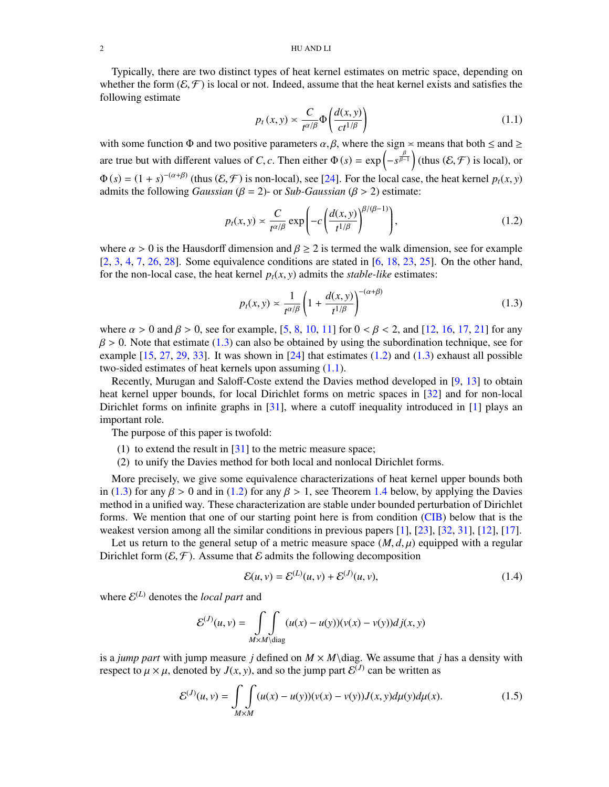Typically, there are two distinct types of heat kernel estimates on metric space, depending on whether the form  $(\mathcal{E}, \mathcal{F})$  is local or not. Indeed, assume that the heat kernel exists and satisfies the following estimate

<span id="page-1-2"></span>
$$
p_t(x, y) \asymp \frac{C}{t^{\alpha/\beta}} \Phi\left(\frac{d(x, y)}{ct^{1/\beta}}\right) \tag{1.1}
$$

with some function  $\Phi$  and two positive parameters  $\alpha$ ,  $\beta$ , where the sign  $\alpha$  means that both  $\leq$  and  $\geq$ are true but with different values of *C*, *c*. Then either  $\Phi(s) = \exp\left(-s^{\frac{\beta}{\beta-1}}\right)$  (thus  $(\mathcal{E}, \mathcal{F})$  is local), or  $\Phi(s) = (1 + s)^{-(\alpha+\beta)}$  (thus  $(\mathcal{E}, \mathcal{F})$  is non-local), see [\[24\]](#page-25-1). For the local case, the heat kernel  $p_t(x, y)$  admits the following *Gaussian*  $(\mathcal{E} - 2)$ , or *Sub-Gaussian*  $(\mathcal{E} > 2)$  estimate: admits the following *Gaussian* ( $\beta = 2$ )- or *Sub-Gaussian* ( $\beta > 2$ ) estimate:

<span id="page-1-1"></span>
$$
p_t(x, y) \asymp \frac{C}{t^{\alpha/\beta}} \exp\left(-c\left(\frac{d(x, y)}{t^{1/\beta}}\right)^{\beta/(\beta - 1)}\right),\tag{1.2}
$$

where  $\alpha > 0$  is the Hausdorff dimension and  $\beta \ge 2$  is termed the walk dimension, see for example  $[2, 3, 4, 7, 26, 28]$  $[2, 3, 4, 7, 26, 28]$  $[2, 3, 4, 7, 26, 28]$  $[2, 3, 4, 7, 26, 28]$  $[2, 3, 4, 7, 26, 28]$  $[2, 3, 4, 7, 26, 28]$  $[2, 3, 4, 7, 26, 28]$  $[2, 3, 4, 7, 26, 28]$  $[2, 3, 4, 7, 26, 28]$  $[2, 3, 4, 7, 26, 28]$  $[2, 3, 4, 7, 26, 28]$ . Some equivalence conditions are stated in [\[6,](#page-24-5) [18,](#page-25-4) [23,](#page-25-5) [25\]](#page-25-6). On the other hand, for the non-local case, the heat kernel  $p_t(x, y)$  admits the *stable-like* estimates:

<span id="page-1-0"></span>
$$
p_t(x, y) \asymp \frac{1}{t^{\alpha/\beta}} \left( 1 + \frac{d(x, y)}{t^{1/\beta}} \right)^{-(\alpha + \beta)}
$$
(1.3)

where  $\alpha > 0$  and  $\beta > 0$ , see for example, [\[5,](#page-24-6) [8,](#page-24-7) [10,](#page-25-7) [11\]](#page-25-8) for  $0 < \beta < 2$ , and [\[12,](#page-25-9) [16,](#page-25-10) [17,](#page-25-11) [21\]](#page-25-12) for any  $\beta$  > 0. Note that estimate [\(1.3\)](#page-1-0) can also be obtained by using the subordination technique, see for example  $[15, 27, 29, 33]$  $[15, 27, 29, 33]$  $[15, 27, 29, 33]$  $[15, 27, 29, 33]$  $[15, 27, 29, 33]$  $[15, 27, 29, 33]$  $[15, 27, 29, 33]$ . It was shown in  $[24]$  that estimates  $(1.2)$  and  $(1.3)$  exhaust all possible two-sided estimates of heat kernels upon assuming [\(1.1\)](#page-1-2).

Recently, Murugan and Saloff-Coste extend the Davies method developed in [\[9,](#page-25-17) [13\]](#page-25-18) to obtain heat kernel upper bounds, for local Dirichlet forms on metric spaces in [\[32\]](#page-25-19) and for non-local Dirichlet forms on infinite graphs in [\[31\]](#page-25-20), where a cutoff inequality introduced in [\[1\]](#page-24-8) plays an important role.

The purpose of this paper is twofold:

- (1) to extend the result in [\[31\]](#page-25-20) to the metric measure space;
- (2) to unify the Davies method for both local and nonlocal Dirichlet forms.

More precisely, we give some equivalence characterizations of heat kernel upper bounds both in [\(1.3\)](#page-1-0) for any  $\beta > 0$  and in [\(1.2\)](#page-1-1) for any  $\beta > 1$ , see Theorem [1.4](#page-4-1) below, by applying the Davies method in a unified way. These characterization are stable under bounded perturbation of Dirichlet forms. We mention that one of our starting point here is from condition [\(CIB\)](#page-3-0) below that is the weakest version among all the similar conditions in previous papers [\[1\]](#page-24-8), [\[23\]](#page-25-5), [\[32,](#page-25-19) [31\]](#page-25-20), [\[12\]](#page-25-9), [\[17\]](#page-25-11).

Let us return to the general setup of a metric measure space  $(M, d, \mu)$  equipped with a regular Dirichlet form  $(\mathcal{E}, \mathcal{F})$ . Assume that  $\mathcal E$  admits the following decomposition

<span id="page-1-3"></span>
$$
\mathcal{E}(u, v) = \mathcal{E}^{(L)}(u, v) + \mathcal{E}^{(J)}(u, v),
$$
\n(1.4)

where  $\mathcal{E}^{(L)}$  denotes the *local part* and

$$
\mathcal{E}^{(J)}(u,v) = \iint\limits_{M \times M \setminus \text{diag}} (u(x) - u(y))(v(x) - v(y))dj(x,y)
$$

is a *jump part* with jump measure *j* defined on  $M \times M$  diag. We assume that *j* has a density with respect to  $\mu \times \mu$ , denoted by  $J(x, y)$ , and so the jump part  $\mathcal{E}^{(J)}$  can be written as

$$
\mathcal{E}^{(J)}(u,v) = \iint_{M \times M} (u(x) - u(y)) (\nu(x) - \nu(y)) J(x, y) d\mu(y) d\mu(x).
$$
 (1.5)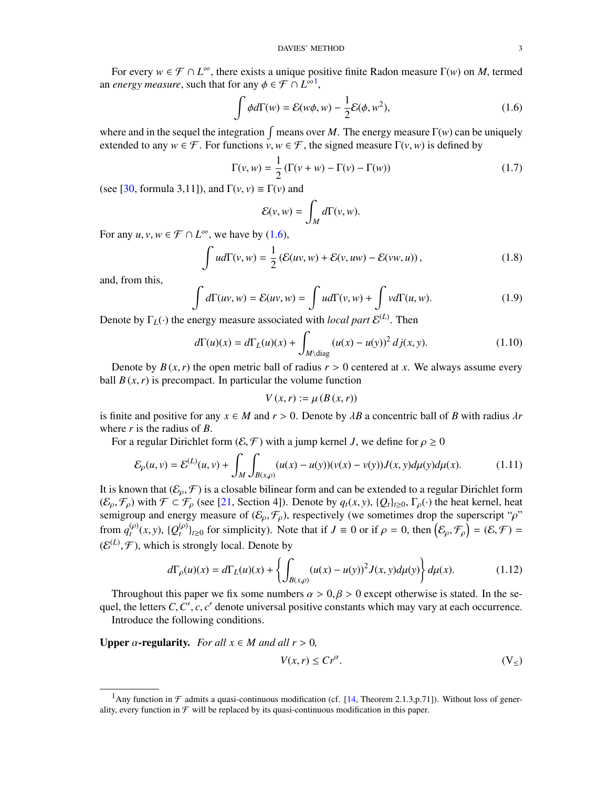For every  $w \in \mathcal{F} \cap L^{\infty}$ , there exists a unique positive finite Radon measure  $\Gamma(w)$  on *M*, termed *energy measure* such that for any  $\phi \in \mathcal{F} \cap L^{\infty}$ an *energy measure*, such that for any  $\phi \in \mathcal{F} \cap L^{\infty}$ <sup>[1](#page-2-0)</sup>,

<span id="page-2-1"></span>
$$
\int \phi d\Gamma(w) = \mathcal{E}(w\phi, w) - \frac{1}{2} \mathcal{E}(\phi, w^2), \tag{1.6}
$$

where and in the sequel the integration  $\int$  means over *M*. The energy measure  $\Gamma(w)$  can be uniquely extended to any  $w \in \mathcal{F}$ . For functions  $v, w \in \mathcal{F}$ , the signed measure  $\Gamma(v, w)$  is defined by

$$
\Gamma(v, w) = \frac{1}{2} \left( \Gamma(v + w) - \Gamma(v) - \Gamma(w) \right)
$$
\n(1.7)

(see [\[30,](#page-25-21) formula 3,11]), and  $\Gamma(v, v) \equiv \Gamma(v)$  and

$$
\mathcal{E}(v,w) = \int_M d\Gamma(v,w).
$$

For any  $u, v, w \in \mathcal{F} \cap L^{\infty}$ , we have by [\(1.6\)](#page-2-1),

$$
\int u d\Gamma(v, w) = \frac{1}{2} \left( \mathcal{E}(uv, w) + \mathcal{E}(v, uw) - \mathcal{E}(vw, u) \right), \tag{1.8}
$$

and, from this,

$$
\int d\Gamma(uv, w) = \mathcal{E}(uv, w) = \int u d\Gamma(v, w) + \int v d\Gamma(u, w).
$$
\n(1.9)

Denote by  $\Gamma_L(\cdot)$  the energy measure associated with *local part*  $\mathcal{E}^{(L)}$ . Then

<span id="page-2-2"></span>
$$
d\Gamma(u)(x) = d\Gamma_L(u)(x) + \int_{M \setminus \text{diag}} (u(x) - u(y))^2 \, dj(x, y). \tag{1.10}
$$

Denote by  $B(x, r)$  the open metric ball of radius  $r > 0$  centered at x. We always assume every ball  $B(x, r)$  is precompact. In particular the volume function

$$
V(x,r) := \mu(B(x,r))
$$

is finite and positive for any  $x \in M$  and  $r > 0$ . Denote by  $\lambda B$  a concentric ball of *B* with radius  $\lambda r$ where *r* is the radius of *B*.

For a regular Dirichlet form  $(\mathcal{E}, \mathcal{F})$  with a jump kernel *J*, we define for  $\rho \geq 0$ 

<span id="page-2-5"></span>
$$
\mathcal{E}_{\rho}(u,v) = \mathcal{E}^{(L)}(u,v) + \int_{M} \int_{B(x,\rho)} (u(x) - u(y)) (\nu(x) - \nu(y)) J(x,y) d\mu(y) d\mu(x).
$$
 (1.11)

It is known that  $(\mathcal{E}_{\rho}, \mathcal{F})$  is a closable bilinear form and can be extended to a regular Dirichlet form<br> $(\mathcal{E}, \mathcal{F})$  with  $\mathcal{F} \subset \mathcal{F}$  (see [21]. Section 41). Denote by  $g(x, y)$ ,  $\Omega_{\text{theo}}$ ,  $\Gamma$  (i) the heat  $(\mathcal{E}_{\rho}, \mathcal{F}_{\rho})$  with  $\mathcal{F} \subset \mathcal{F}_{\rho}$  (see [\[21,](#page-25-12) Section 4]). Denote by  $q_t(x, y)$ ,  $\{Q_t\}_{t \geq 0}$ ,  $\Gamma_{\rho}(\cdot)$  the heat kernel, heat semigroup and energy measure of  $(\mathcal{E}_{\rho}, \mathcal{F}_{\rho})$ , respectively (we sometimes drop the superscript " $\rho$ " from  $q_t^{(\rho)}(x, y)$ ,  $\{Q_t^{(\rho)}\}_{t\geq 0}$  for simplicity). Note that if  $J \equiv 0$  or if  $\rho = 0$ , then  $(\mathcal{E}_{\rho}, \mathcal{F}_{\rho}) = (\mathcal{E}, \mathcal{F}) =$  $(E^{(L)}, \mathcal{F})$ , which is strongly local. Denote by

$$
d\Gamma_{\rho}(u)(x) = d\Gamma_{L}(u)(x) + \left\{ \int_{B(x,\rho)} (u(x) - u(y))^{2} J(x,y) d\mu(y) \right\} d\mu(x).
$$
 (1.12)

Throughout this paper we fix some numbers  $\alpha > 0, \beta > 0$  except otherwise is stated. In the se-<br>el the letters C C' c c' denote universal positive constants which may vary at each occurrence quel, the letters  $C, C', c, c'$  denote universal positive constants which may vary at each occurrence.<br>Introduce the following conditions Introduce the following conditions.

**Upper**  $\alpha$ **-regularity.** *For all*  $x \in M$  *and all*  $r > 0$ *,* 

<span id="page-2-4"></span><span id="page-2-3"></span>
$$
V(x,r) \le Cr^{\alpha}.\tag{V_{\leq}}
$$

<span id="page-2-0"></span><sup>&</sup>lt;sup>1</sup>Any function in  $\mathcal F$  admits a quasi-continuous modification (cf. [\[14,](#page-25-0) Theorem 2.1.3,p.71]). Without loss of generality, every function in  $\mathcal F$  will be replaced by its quasi-continuous modification in this paper.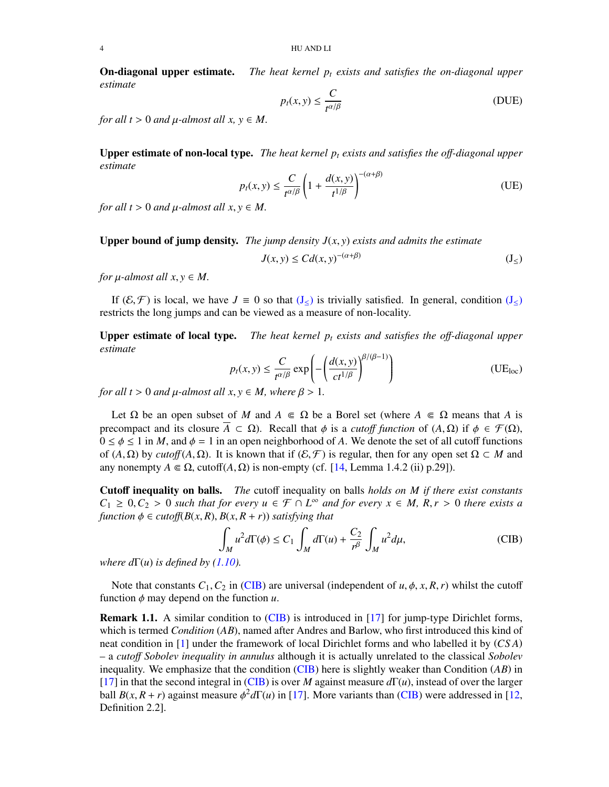On-diagonal upper estimate. *The heat kernel p<sup>t</sup> exists and satisfies the on-diagonal upper estimate*

<span id="page-3-3"></span><span id="page-3-2"></span>
$$
p_t(x, y) \le \frac{C}{t^{\alpha/\beta}}
$$
 (DUE)

*for all t* > 0 *and*  $\mu$ -*almost all x, y*  $\in$  *M*.

Upper estimate of non-local type. *The heat kernel p<sup>t</sup> exists and satisfies the o*ff*-diagonal upper estimate*

$$
p_t(x, y) \le \frac{C}{t^{\alpha/\beta}} \left( 1 + \frac{d(x, y)}{t^{1/\beta}} \right)^{-(\alpha + \beta)}
$$
(UE)

*for all t* > 0 *and*  $\mu$ -*almost all*  $x, y \in M$ .

**Upper bound of jump density.** *The jump density*  $J(x, y)$  *exists and admits the estimate* 

<span id="page-3-4"></span><span id="page-3-1"></span>
$$
J(x, y) \le C d(x, y)^{-(\alpha + \beta)}
$$
 (J<sub>≤</sub>)

*for*  $\mu$ *-almost all*  $x, y \in M$ .

If  $(\mathcal{E}, \mathcal{F})$  is local, we have  $J \equiv 0$  so that  $(J_{\leq})$  $(J_{\leq})$  is trivially satisfied. In general, condition  $(J_{\leq})$ restricts the long jumps and can be viewed as a measure of non-locality.

Upper estimate of local type. *The heat kernel p<sup>t</sup> exists and satisfies the o*ff*-diagonal upper estimate*

$$
p_t(x, y) \le \frac{C}{t^{\alpha/\beta}} \exp\left(-\left(\frac{d(x, y)}{ct^{1/\beta}}\right)^{\beta/(\beta - 1)}\right) \tag{UE}_{loc}
$$

*for all t* > 0 *and*  $\mu$ -*almost all*  $x, y \in M$ *, where*  $\beta$  > 1*.* 

Let  $\Omega$  be an open subset of *M* and  $A \in \Omega$  be a Borel set (where  $A \in \Omega$  means that *A* is precompact and its closure  $\overline{A} \subset \Omega$ ). Recall that  $\phi$  is a *cutoff function* of  $(A, \Omega)$  if  $\phi \in \mathcal{F}(\Omega)$ ,  $0 \le \phi \le 1$  in *M*, and  $\phi = 1$  in an open neighborhood of *A*. We denote the set of all cutoff functions of  $(A, \Omega)$  by *cutoff*  $(A, \Omega)$ . It is known that if  $(\mathcal{E}, \mathcal{F})$  is regular, then for any open set  $\Omega \subset M$  and any nonempty  $A \in \Omega$ , cutoff $(A, \Omega)$  is non-empty (cf. [\[14,](#page-25-0) Lemma 1.4.2 (ii) p.29]).

Cutoff inequality on balls. *The* cutoff inequality on balls *holds on M if there exist constants C*<sub>1</sub> ≥ 0,*C*<sub>2</sub> > 0 *such that for every*  $u \in \mathcal{F} \cap L^{\infty}$  *and for every*  $x \in M$ ,  $R, r > 0$  *there exists a function*  $\phi \in \text{cutoff}(R(x,R), R(x,R+r))$  *satisfying that function*  $\phi \in \text{cutoff}(B(x,R), B(x,R+r))$  *satisfying that* 

<span id="page-3-0"></span>
$$
\int_{M} u^{2} d\Gamma(\phi) \le C_{1} \int_{M} d\Gamma(u) + \frac{C_{2}}{r^{\beta}} \int_{M} u^{2} d\mu,
$$
\n(CIB)

*where*  $d\Gamma(u)$  *is defined by [\(1.10\)](#page-2-2).* 

Note that constants  $C_1$ ,  $C_2$  in [\(CIB\)](#page-3-0) are universal (independent of *u*,  $\phi$ , *x*, *R*, *r*) whilst the cutoff function  $\phi$  may depend on the function  $u$ .

Remark 1.1. A similar condition to [\(CIB\)](#page-3-0) is introduced in [\[17\]](#page-25-11) for jump-type Dirichlet forms, which is termed *Condition* (*AB*), named after Andres and Barlow, who first introduced this kind of neat condition in [\[1\]](#page-24-8) under the framework of local Dirichlet forms and who labelled it by (*CS A*) – a *cuto*ff *Sobolev inequality in annulus* although it is actually unrelated to the classical *Sobolev* inequality. We emphasize that the condition [\(CIB\)](#page-3-0) here is slightly weaker than Condition (*AB*) in [\[17\]](#page-25-11) in that the second integral in [\(CIB\)](#page-3-0) is over *M* against measure *d*Γ(*u*), instead of over the larger ball  $B(x, R + r)$  against measure  $\phi^2 d\Gamma(u)$  in [\[17\]](#page-25-11). More variants than [\(CIB\)](#page-3-0) were addressed in [\[12,](#page-25-9) Definition 2.2] Definition 2.2].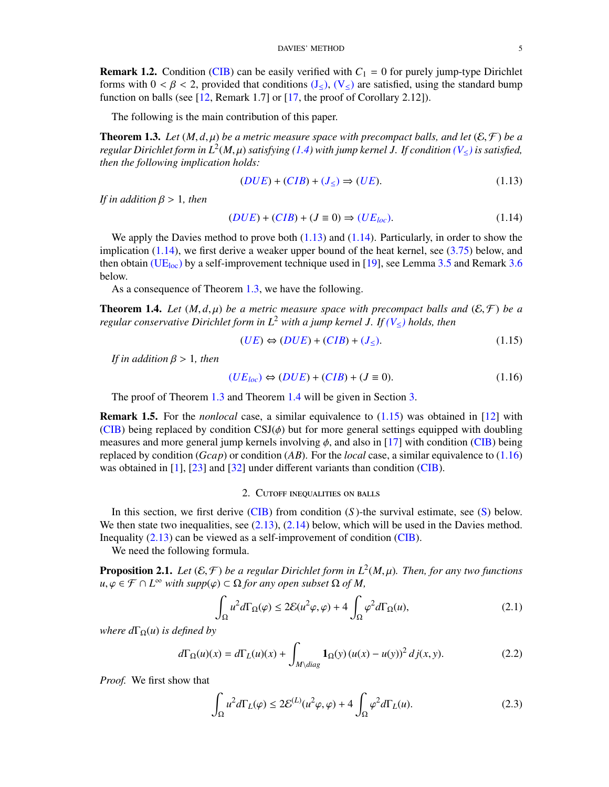**Remark 1.2.** Condition [\(CIB\)](#page-3-0) can be easily verified with  $C_1 = 0$  for purely jump-type Dirichlet forms with  $0 < \beta < 2$ , provided that conditions  $(J<)$  $(J<)$ ,  $(V<)$  $(V<)$  are satisfied, using the standard bump function on balls (see [\[12,](#page-25-9) Remark 1.7] or [\[17,](#page-25-11) the proof of Corollary 2.12]).

The following is the main contribution of this paper.

<span id="page-4-3"></span>**Theorem 1.3.** Let  $(M, d, \mu)$  be a metric measure space with precompact balls, and let  $(\mathcal{E}, \mathcal{F})$  be a *regular Dirichlet form in*  $L^2(M, \mu)$  *satisfying [\(1.4\)](#page-1-3)* with jump kernel J. If condition  $(V_{\leq})$  $(V_{\leq})$  is satisfied,<br>then the following implication holds: *then the following implication holds:*

$$
(DUE) + (CIB) + (J_{\leq}) \Rightarrow (UE). \tag{1.13}
$$

*If in addition* β > <sup>1</sup>*, then*

<span id="page-4-2"></span>
$$
(DUE) + (CIB) + (J \equiv 0) \Rightarrow (UE_{loc}).
$$
\n(1.14)

We apply the Davies method to prove both  $(1.13)$  and  $(1.14)$ . Particularly, in order to show the implication [\(1.14\)](#page-4-2), we first derive a weaker upper bound of the heat kernel, see [\(3.75\)](#page-24-9) below, and then obtain [\(UE](#page-3-4)<sub>loc</sub>) by a self-improvement technique used in [\[19\]](#page-25-22), see Lemma [3.5](#page-16-0) and Remark [3.6](#page-16-1) below.

As a consequence of Theorem [1.3,](#page-4-3) we have the following.

<span id="page-4-1"></span>**Theorem 1.4.** Let  $(M, d, \mu)$  be a metric measure space with precompact balls and  $(E, \mathcal{F})$  be a *regular conservative Dirichlet form in L*<sup>2</sup> *with a jump kernel J. If [\(V](#page-2-3)*≤*) holds, then*

<span id="page-4-4"></span>
$$
(UE) \Leftrightarrow (DUE) + (CIB) + (J_{\leq}). \tag{1.15}
$$

*If in addition* β > <sup>1</sup>*, then*

<span id="page-4-5"></span>
$$
(UEloc) \Leftrightarrow (DUE) + (CIB) + (J \equiv 0). \tag{1.16}
$$

The proof of Theorem [1.3](#page-4-3) and Theorem [1.4](#page-4-1) will be given in Section [3.](#page-10-0)

Remark 1.5. For the *nonlocal* case, a similar equivalence to [\(1.15\)](#page-4-4) was obtained in [\[12\]](#page-25-9) with [\(CIB\)](#page-3-0) being replaced by condition  $CSJ(\phi)$  but for more general settings equipped with doubling measures and more general jump kernels involving  $\phi$ , and also in [\[17\]](#page-25-11) with condition [\(CIB\)](#page-3-0) being replaced by condition (*Gcap*) or condition (*AB*). For the *local* case, a similar equivalence to [\(1.16\)](#page-4-5) was obtained in [\[1\]](#page-24-8), [\[23\]](#page-25-5) and [\[32\]](#page-25-19) under different variants than condition [\(CIB\)](#page-3-0).

### 2. Cutoff inequalities on balls

<span id="page-4-0"></span>In this section, we first derive [\(CIB\)](#page-3-0) from condition (*S* )-the survival estimate, see [\(S\)](#page-6-0) below. We then state two inequalities, see  $(2.13)$ ,  $(2.14)$  below, which will be used in the Davies method. Inequality [\(2.13\)](#page-7-0) can be viewed as a self-improvement of condition [\(CIB\)](#page-3-0).

We need the following formula.

**Proposition 2.1.** *Let*  $(E, \mathcal{F})$  *be a regular Dirichlet form in*  $L^2(M, \mu)$ *. Then, for any two functions*  $\mathcal{U} \circ \mathcal{F} \cap L^{\infty}$  with supplied  $\bigcirc$  of a any open subset  $\bigcirc$  of  $M$  $u, \varphi \in \mathcal{F} \cap L^{\infty}$  *with supp*( $\varphi$ ) ⊂ Ω *for any open subset* Ω *of M*,

<span id="page-4-8"></span>
$$
\int_{\Omega} u^2 d\Gamma_{\Omega}(\varphi) \le 2\mathcal{E}(u^2\varphi, \varphi) + 4\int_{\Omega} \varphi^2 d\Gamma_{\Omega}(u),\tag{2.1}
$$

*where*  $d\Gamma_{\Omega}(u)$  *is defined by* 

<span id="page-4-7"></span>
$$
d\Gamma_{\Omega}(u)(x) = d\Gamma_L(u)(x) + \int_{M\backslash diag} \mathbf{1}_{\Omega}(y) \left(u(x) - u(y)\right)^2 dj(x, y).
$$
 (2.2)

*Proof.* We first show that

<span id="page-4-6"></span>
$$
\int_{\Omega} u^2 d\Gamma_L(\varphi) \le 2\mathcal{E}^{(L)}(u^2\varphi, \varphi) + 4\int_{\Omega} \varphi^2 d\Gamma_L(u). \tag{2.3}
$$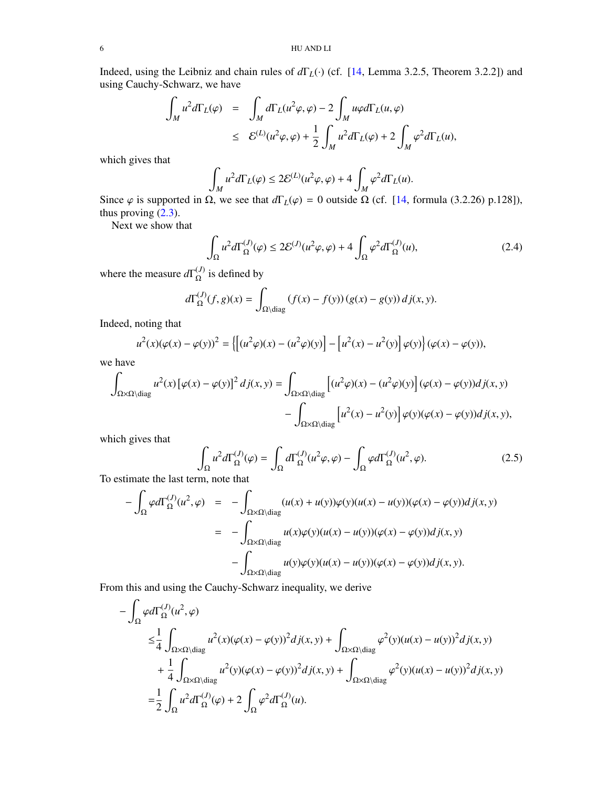Indeed, using the Leibniz and chain rules of *d*Γ*L*(·) (cf. [\[14,](#page-25-0) Lemma 3.2.5, Theorem 3.2.2]) and using Cauchy-Schwarz, we have

$$
\int_{M} u^{2} d\Gamma_{L}(\varphi) = \int_{M} d\Gamma_{L}(u^{2}\varphi, \varphi) - 2 \int_{M} u\varphi d\Gamma_{L}(u, \varphi)
$$
\n
$$
\leq \mathcal{E}^{(L)}(u^{2}\varphi, \varphi) + \frac{1}{2} \int_{M} u^{2} d\Gamma_{L}(\varphi) + 2 \int_{M} \varphi^{2} d\Gamma_{L}(u),
$$

which gives that

$$
\int_M u^2 d\Gamma_L(\varphi) \le 2\mathcal{E}^{(L)}(u^2\varphi, \varphi) + 4\int_M \varphi^2 d\Gamma_L(u).
$$

Since  $\varphi$  is supported in  $\Omega$ , we see that  $d\Gamma_L(\varphi) = 0$  outside  $\Omega$  (cf. [\[14,](#page-25-0) formula (3.2.26) p.128]), thus proving (2.3) thus proving [\(2.3\)](#page-4-6).

Next we show that

<span id="page-5-1"></span>
$$
\int_{\Omega} u^2 d\Gamma_{\Omega}^{(J)}(\varphi) \le 2\mathcal{E}^{(J)}(u^2\varphi, \varphi) + 4 \int_{\Omega} \varphi^2 d\Gamma_{\Omega}^{(J)}(u),\tag{2.4}
$$

where the measure  $d\Gamma_{\Omega}^{(J)}$  $\Omega^{(J)}$  is defined by

$$
d\Gamma_{\Omega}^{(J)}(f,g)(x) = \int_{\Omega \setminus \text{diag}} (f(x) - f(y)) (g(x) - g(y)) d j(x, y).
$$

Indeed, noting that

$$
u^2(x)(\varphi(x) - \varphi(y))^2 = \left\{ \left[ (u^2\varphi)(x) - (u^2\varphi)(y) \right] - \left[ u^2(x) - u^2(y) \right] \varphi(y) \right\} (\varphi(x) - \varphi(y)),
$$

we have

$$
\int_{\Omega \times \Omega \backslash \text{diag}} u^2(x) \left[ \varphi(x) - \varphi(y) \right]^2 dj(x, y) = \int_{\Omega \times \Omega \backslash \text{diag}} \left[ (u^2 \varphi)(x) - (u^2 \varphi)(y) \right] (\varphi(x) - \varphi(y)) dj(x, y) - \int_{\Omega \times \Omega \backslash \text{diag}} \left[ u^2(x) - u^2(y) \right] \varphi(y) (\varphi(x) - \varphi(y)) dj(x, y),
$$

which gives that

<span id="page-5-0"></span>
$$
\int_{\Omega} u^2 d\Gamma_{\Omega}^{(J)}(\varphi) = \int_{\Omega} d\Gamma_{\Omega}^{(J)}(u^2 \varphi, \varphi) - \int_{\Omega} \varphi d\Gamma_{\Omega}^{(J)}(u^2, \varphi).
$$
\n(2.5)

To estimate the last term, note that

$$
-\int_{\Omega} \varphi d\Gamma_{\Omega}^{(J)}(u^2, \varphi) = -\int_{\Omega \times \Omega \backslash \text{diag}} (u(x) + u(y))\varphi(y)(u(x) - u(y))(\varphi(x) - \varphi(y))dj(x, y)
$$
  

$$
= -\int_{\Omega \times \Omega \backslash \text{diag}} u(x)\varphi(y)(u(x) - u(y))(\varphi(x) - \varphi(y))dj(x, y)
$$
  

$$
-\int_{\Omega \times \Omega \backslash \text{diag}} u(y)\varphi(y)(u(x) - u(y))(\varphi(x) - \varphi(y))dj(x, y).
$$

From this and using the Cauchy-Schwarz inequality, we derive

$$
- \int_{\Omega} \varphi d\Gamma_{\Omega}^{(J)}(u^2, \varphi)
$$
  
\n
$$
\leq \frac{1}{4} \int_{\Omega \times \Omega \setminus \text{diag}} u^2(x) (\varphi(x) - \varphi(y))^2 dj(x, y) + \int_{\Omega \times \Omega \setminus \text{diag}} \varphi^2(y) (u(x) - u(y))^2 dj(x, y)
$$
  
\n
$$
+ \frac{1}{4} \int_{\Omega \times \Omega \setminus \text{diag}} u^2(y) (\varphi(x) - \varphi(y))^2 dj(x, y) + \int_{\Omega \times \Omega \setminus \text{diag}} \varphi^2(y) (u(x) - u(y))^2 dj(x, y)
$$
  
\n
$$
= \frac{1}{2} \int_{\Omega} u^2 d\Gamma_{\Omega}^{(J)}(\varphi) + 2 \int_{\Omega} \varphi^2 d\Gamma_{\Omega}^{(J)}(u).
$$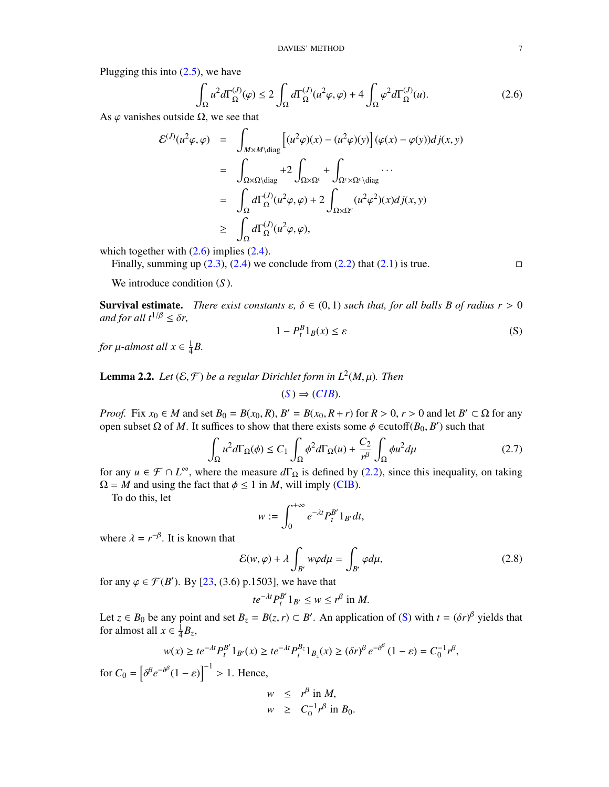Plugging this into  $(2.5)$ , we have

<span id="page-6-1"></span>
$$
\int_{\Omega} u^2 d\Gamma_{\Omega}^{(J)}(\varphi) \le 2 \int_{\Omega} d\Gamma_{\Omega}^{(J)}(u^2 \varphi, \varphi) + 4 \int_{\Omega} \varphi^2 d\Gamma_{\Omega}^{(J)}(u). \tag{2.6}
$$

As  $\varphi$  vanishes outside  $\Omega$ , we see that

$$
\mathcal{E}^{(J)}(u^2\varphi,\varphi) = \int_{M \times M \setminus \text{diag}} \left[ (u^2\varphi)(x) - (u^2\varphi)(y) \right] (\varphi(x) - \varphi(y)) dj(x, y)
$$
  
\n
$$
= \int_{\Omega \times \Omega \setminus \text{diag}} + 2 \int_{\Omega \times \Omega^c} + \int_{\Omega^c \times \Omega^c \setminus \text{diag}} \cdots
$$
  
\n
$$
= \int_{\Omega} d\Gamma_{\Omega}^{(J)}(u^2\varphi,\varphi) + 2 \int_{\Omega \times \Omega^c} (u^2\varphi^2)(x) dj(x, y)
$$
  
\n
$$
\geq \int_{\Omega} d\Gamma_{\Omega}^{(J)}(u^2\varphi,\varphi),
$$

which together with  $(2.6)$  implies  $(2.4)$ .

Finally, summing up  $(2.3)$ ,  $(2.4)$  we conclude from  $(2.2)$  that  $(2.1)$  is true.

<span id="page-6-0"></span>

We introduce condition (*S* ).

**Survival estimate.** *There exist constants*  $\varepsilon$ ,  $\delta \in (0,1)$  *such that, for all balls B of radius*  $r > 0$ *and for all*  $t^{1/\beta} \leq \delta r$ ,

<span id="page-6-2"></span>
$$
1 - P_t^B 1_B(x) \le \varepsilon \tag{S}
$$

*for*  $\mu$ *-almost all*  $x \in \frac{1}{4}$  $\frac{1}{4}B$ .

<span id="page-6-4"></span>**Lemma 2.2.** Let  $(\mathcal{E}, \mathcal{F})$  be a regular Dirichlet form in  $L^2(M, \mu)$ . Then

$$
(S) \Rightarrow (CIB).
$$

*Proof.* Fix  $x_0 \in M$  and set  $B_0 = B(x_0, R)$ ,  $B' = B(x_0, R + r)$  for  $R > 0$ ,  $r > 0$  and let  $B' \subset \Omega$  for any open subset  $\Omega$  of  $M$ . It suffices to show that there exists some  $\phi$   $\in$ cutoff( $B_0$ ,  $B'$ ) such that open subset Ω of *M*. It suffices to show that there exists some  $\phi$  ∈cutoff(*B*<sub>0</sub>, *B*<sup>'</sup>) such that

$$
\int_{\Omega} u^2 d\Gamma_{\Omega}(\phi) \le C_1 \int_{\Omega} \phi^2 d\Gamma_{\Omega}(u) + \frac{C_2}{r^{\beta}} \int_{\Omega} \phi u^2 d\mu \tag{2.7}
$$

for any  $u \in \mathcal{F} \cap L^{\infty}$ , where the measure  $d\Gamma_{\Omega}$  is defined by [\(2.2\)](#page-4-7), since this inequality, on taking  $\Omega = M$  and using the fact that  $\phi \le 1$  in *M*, will imply [\(CIB\)](#page-3-0).

To do this, let

$$
w:=\int_0^{+\infty}e^{-\lambda t}P_t^{B'}1_{B'}dt,
$$

where  $\lambda = r^{-\beta}$ . It is known that

<span id="page-6-3"></span>
$$
\mathcal{E}(w,\varphi) + \lambda \int_{B'} w\varphi d\mu = \int_{B'} \varphi d\mu, \tag{2.8}
$$

for any  $\varphi \in \mathcal{F}(B')$ . By [\[23,](#page-25-5) (3.6) p.1503], we have that

$$
te^{-\lambda t}P_t^{B'}1_{B'}\leq w\leq r^{\beta}\text{ in }M.
$$

Let  $z \in B_0$  be any point and set  $B_z = B(z, r) \subset B'$ . An application of [\(S\)](#page-6-0) with  $t = (\delta r)^\beta$  yields that for almost all  $r \in \frac{1}{2}R$ for almost all  $x \in \frac{1}{4}$  $\frac{1}{4}B_{z}$ 

$$
w(x) \ge t e^{-\lambda t} P_t^{B'} 1_{B'}(x) \ge t e^{-\lambda t} P_t^{B_z} 1_{B_z}(x) \ge (\delta r)^{\beta} e^{-\delta^{\beta}} (1 - \varepsilon) = C_0^{-1} r^{\beta},
$$

for  $C_0 = \left[ \begin{array}{c} 1 \\ 1 \end{array} \right]$  $\delta^{\beta} e^{-\delta^{\beta}} (1 - \varepsilon) \Big]^{-1} > 1$ . Hence,

$$
w \leq r^{\beta} \text{ in } M,
$$
  

$$
w \geq C_0^{-1} r^{\beta} \text{ in } B_0.
$$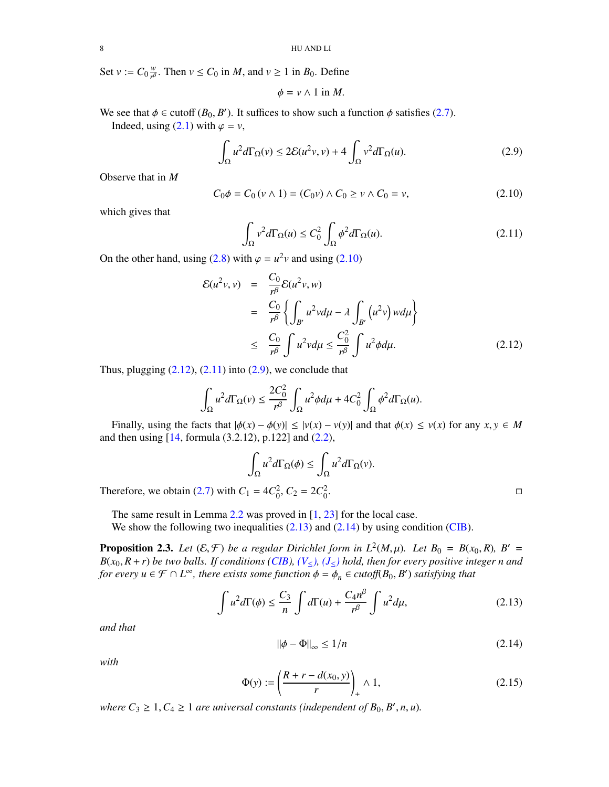Set  $v := C_0 \frac{w}{r^{\beta}}$  $\frac{w}{r^{\beta}}$ . Then  $v \le C_0$  in *M*, and  $v \ge 1$  in *B*<sub>0</sub>. Define

$$
\phi = v \wedge 1 \text{ in } M.
$$

We see that  $\phi \in \text{cutoff}(B_0, B')$ . It suffices to show such a function  $\phi$  satisfies [\(2.7\)](#page-6-2).<br>Indeed using (2.1) with  $\phi = y$ 

Indeed, using  $(2.1)$  with  $\varphi = v$ ,

<span id="page-7-5"></span>
$$
\int_{\Omega} u^2 d\Gamma_{\Omega}(v) \le 2\mathcal{E}(u^2v, v) + 4\int_{\Omega} v^2 d\Gamma_{\Omega}(u). \tag{2.9}
$$

Observe that in *M*

<span id="page-7-2"></span>
$$
C_0 \phi = C_0 (v \wedge 1) = (C_0 v) \wedge C_0 \ge v \wedge C_0 = v,
$$
 (2.10)

which gives that

<span id="page-7-4"></span>
$$
\int_{\Omega} v^2 d\Gamma_{\Omega}(u) \le C_0^2 \int_{\Omega} \phi^2 d\Gamma_{\Omega}(u). \tag{2.11}
$$

On the other hand, using [\(2.8\)](#page-6-3) with  $\varphi = u^2 v$  and using [\(2.10\)](#page-7-2)

<span id="page-7-3"></span>
$$
\mathcal{E}(u^2v, v) = \frac{C_0}{r^{\beta}} \mathcal{E}(u^2v, w)
$$
  
=  $\frac{C_0}{r^{\beta}} \left\{ \int_{B'} u^2 v d\mu - \lambda \int_{B'} (u^2v) w d\mu \right\}$   

$$
\leq \frac{C_0}{r^{\beta}} \int u^2 v d\mu \leq \frac{C_0^2}{r^{\beta}} \int u^2 \phi d\mu.
$$
 (2.12)

Thus, plugging  $(2.12)$ ,  $(2.11)$  into  $(2.9)$ , we conclude that

$$
\int_{\Omega} u^2 d\Gamma_{\Omega}(v) \le \frac{2C_0^2}{r^{\beta}} \int_{\Omega} u^2 \phi d\mu + 4C_0^2 \int_{\Omega} \phi^2 d\Gamma_{\Omega}(u).
$$

Finally, using the facts that  $|\phi(x) - \phi(y)| \le |v(x) - v(y)|$  and that  $\phi(x) \le v(x)$  for any  $x, y \in M$ and then using [\[14,](#page-25-0) formula (3.2.12), p.122] and [\(2.2\)](#page-4-7),

$$
\int_{\Omega} u^2 d\Gamma_{\Omega}(\phi) \le \int_{\Omega} u^2 d\Gamma_{\Omega}(v).
$$
  

$$
u = 4C_0^2, C_2 = 2C_0^2.
$$

Therefore, we obtain [\(2.7\)](#page-6-2) with  $C_1 = 4C_0^2$ ,  $C_2 = 2C_0^2$ 

The same result in Lemma  $2.2$  was proved in  $[1, 23]$  $[1, 23]$  $[1, 23]$  for the local case.

We show the following two inequalities  $(2.13)$  and  $(2.14)$  by using condition [\(CIB\)](#page-3-0).

**Proposition 2.3.** Let  $(E, \mathcal{F})$  be a regular Dirichlet form in  $L^2(M, \mu)$ . Let  $B_0 = B(x_0, R)$ ,  $B' = R(x_0, R + r)$  be two halls. If conditions (CIR),  $(V_A)$ ,  $(L_A)$  hold, then for every positive integer n and  $B(x_0, R + r)$  *be two balls. If conditions [\(CIB\)](#page-3-0), [\(V](#page-2-3)*≤*), [\(J](#page-3-1)*≤*) hold, then for every positive integer n and for every*  $u \in \mathcal{F} \cap L^{\infty}$ , there exists some function  $\phi = \phi_n \in \text{cutoff}(B_0, B')$  satisfying that

<span id="page-7-0"></span>
$$
\int u^2 d\Gamma(\phi) \le \frac{C_3}{n} \int d\Gamma(u) + \frac{C_4 n^{\beta}}{n^{\beta}} \int u^2 d\mu,
$$
\n(2.13)

*and that*

<span id="page-7-1"></span>
$$
\|\phi - \Phi\|_{\infty} \le 1/n \tag{2.14}
$$

*with*

<span id="page-7-6"></span>
$$
\Phi(y) := \left(\frac{R+r - d(x_0, y)}{r}\right)_+ \wedge 1,\tag{2.15}
$$

where  $C_3 \geq 1, C_4 \geq 1$  *are universal constants (independent of B*<sub>0</sub>, *B'*, *n*, *u*).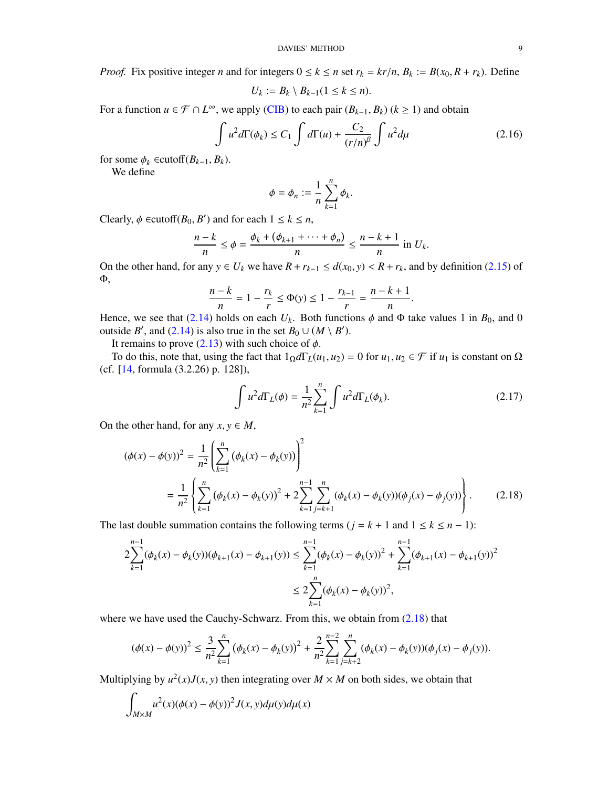*Proof.* Fix positive integer *n* and for integers  $0 \le k \le n$  set  $r_k = kr/n$ ,  $B_k := B(x_0, R + r_k)$ . Define

$$
U_k := B_k \setminus B_{k-1} (1 \leq k \leq n).
$$

For a function *u* ∈  $\mathcal{F} \cap L^{\infty}$ , we apply [\(CIB\)](#page-3-0) to each pair  $(B_{k-1}, B_k)$  ( $k \ge 1$ ) and obtain

<span id="page-8-2"></span>
$$
\int u^2 d\Gamma(\phi_k) \le C_1 \int d\Gamma(u) + \frac{C_2}{(r/n)^{\beta}} \int u^2 d\mu \tag{2.16}
$$

for some  $\phi_k \in \text{cutoff}(B_{k-1}, B_k)$ .

We define

$$
\phi=\phi_n:=\frac{1}{n}\sum_{k=1}^n\phi_k
$$

Clearly,  $\phi \in \text{cutoff}(B_0, B')$  and for each  $1 \le k \le n$ ,

$$
\frac{n-k}{n} \leq \phi = \frac{\phi_k + (\phi_{k+1} + \dots + \phi_n)}{n} \leq \frac{n-k+1}{n} \text{ in } U_k.
$$

On the other hand, for any  $y \in U_k$  we have  $R + r_{k-1} \le d(x_0, y) < R + r_k$ , and by definition [\(2.15\)](#page-7-6) of Φ,

$$
\frac{n-k}{n} = 1 - \frac{r_k}{r} \le \Phi(y) \le 1 - \frac{r_{k-1}}{r} = \frac{n-k+1}{n}
$$

Hence, we see that [\(2.14\)](#page-7-1) holds on each  $U_k$ . Both functions  $\phi$  and  $\Phi$  take values 1 in  $B_0$ , and 0 outside *B'*, and [\(2.14\)](#page-7-1) is also true in the set  $B_0 \cup (M \setminus B')$ .

It remains to prove  $(2.13)$  with such choice of  $\phi$ .

To do this, note that, using the fact that  $1_\Omega d\Gamma_L(u_1, u_2) = 0$  for  $u_1, u_2 \in \mathcal{F}$  if  $u_1$  is constant on  $\Omega$ (cf. [\[14,](#page-25-0) formula (3.2.26) p. 128]),

<span id="page-8-1"></span><span id="page-8-0"></span>
$$
\int u^2 d\Gamma_L(\phi) = \frac{1}{n^2} \sum_{k=1}^n \int u^2 d\Gamma_L(\phi_k).
$$
 (2.17)

On the other hand, for any  $x, y \in M$ ,

$$
(\phi(x) - \phi(y))^2 = \frac{1}{n^2} \left( \sum_{k=1}^n (\phi_k(x) - \phi_k(y)) \right)^2
$$
  
= 
$$
\frac{1}{n^2} \left\{ \sum_{k=1}^n (\phi_k(x) - \phi_k(y))^2 + 2 \sum_{k=1}^{n-1} \sum_{j=k+1}^n (\phi_k(x) - \phi_k(y)) (\phi_j(x) - \phi_j(y)) \right\}.
$$
 (2.18)

The last double summation contains the following terms ( $j = k + 1$  and  $1 \leq k \leq n - 1$ ):

$$
2\sum_{k=1}^{n-1} (\phi_k(x) - \phi_k(y))(\phi_{k+1}(x) - \phi_{k+1}(y)) \le \sum_{k=1}^{n-1} (\phi_k(x) - \phi_k(y))^2 + \sum_{k=1}^{n-1} (\phi_{k+1}(x) - \phi_{k+1}(y))^2
$$
  

$$
\le 2\sum_{k=1}^n (\phi_k(x) - \phi_k(y))^2,
$$

where we have used the Cauchy-Schwarz. From this, we obtain from  $(2.18)$  that

$$
(\phi(x) - \phi(y))^2 \le \frac{3}{n^2} \sum_{k=1}^n (\phi_k(x) - \phi_k(y))^2 + \frac{2}{n^2} \sum_{k=1}^{n-2} \sum_{j=k+2}^n (\phi_k(x) - \phi_k(y))(\phi_j(x) - \phi_j(y)).
$$

Multiplying by  $u^2(x)J(x, y)$  then integrating over  $M \times M$  on both sides, we obtain that

$$
\int_{M\times M} u^2(x)(\phi(x) - \phi(y))^2 J(x, y)d\mu(y)d\mu(x)
$$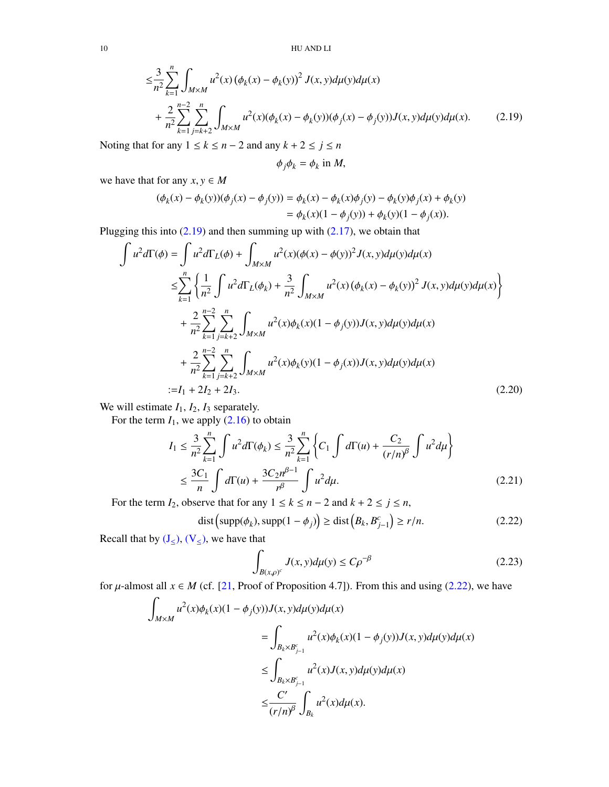10 HU AND LI

$$
\leq \frac{3}{n^2} \sum_{k=1}^n \int_{M \times M} u^2(x) \left( \phi_k(x) - \phi_k(y) \right)^2 J(x, y) d\mu(y) d\mu(x) + \frac{2}{n^2} \sum_{k=1}^{n-2} \sum_{j=k+2}^n \int_{M \times M} u^2(x) (\phi_k(x) - \phi_k(y)) (\phi_j(x) - \phi_j(y)) J(x, y) d\mu(y) d\mu(x).
$$
 (2.19)

Noting that for any  $1 \le k \le n - 2$  and any  $k + 2 \le j \le n$ 

<span id="page-9-0"></span>
$$
\phi_j \phi_k = \phi_k \text{ in } M,
$$

we have that for any  $x, y \in M$ 

$$
(\phi_k(x) - \phi_k(y))(\phi_j(x) - \phi_j(y)) = \phi_k(x) - \phi_k(x)\phi_j(y) - \phi_k(y)\phi_j(x) + \phi_k(y) = \phi_k(x)(1 - \phi_j(y)) + \phi_k(y)(1 - \phi_j(x)).
$$

Plugging this into  $(2.19)$  and then summing up with  $(2.17)$ , we obtain that

$$
\int u^2 d\Gamma(\phi) = \int u^2 d\Gamma_L(\phi) + \int_{M \times M} u^2(x) (\phi(x) - \phi(y))^2 J(x, y) d\mu(y) d\mu(x)
$$
  
\n
$$
\leq \sum_{k=1}^n \left\{ \frac{1}{n^2} \int u^2 d\Gamma_L(\phi_k) + \frac{3}{n^2} \int_{M \times M} u^2(x) (\phi_k(x) - \phi_k(y))^2 J(x, y) d\mu(y) d\mu(x) \right\}
$$
  
\n
$$
+ \frac{2}{n^2} \sum_{k=1}^{n-2} \sum_{j=k+2}^n \int_{M \times M} u^2(x) \phi_k(x) (1 - \phi_j(y)) J(x, y) d\mu(y) d\mu(x)
$$
  
\n
$$
+ \frac{2}{n^2} \sum_{k=1}^{n-2} \sum_{j=k+2}^n \int_{M \times M} u^2(x) \phi_k(y) (1 - \phi_j(x)) J(x, y) d\mu(y) d\mu(x)
$$
  
\n
$$
:= I_1 + 2I_2 + 2I_3.
$$
 (2.20)

We will estimate  $I_1$ ,  $I_2$ ,  $I_3$  separately.

For the term  $I_1$ , we apply  $(2.16)$  to obtain

$$
I_1 \leq \frac{3}{n^2} \sum_{k=1}^n \int u^2 d\Gamma(\phi_k) \leq \frac{3}{n^2} \sum_{k=1}^n \left\{ C_1 \int d\Gamma(u) + \frac{C_2}{(r/n)^{\beta}} \int u^2 d\mu \right\}
$$
  

$$
\leq \frac{3C_1}{n} \int d\Gamma(u) + \frac{3C_2 n^{\beta - 1}}{n^{\beta}} \int u^2 d\mu.
$$
 (2.21)

For the term  $I_2$ , observe that for any  $1 \le k \le n - 2$  and  $k + 2 \le j \le n$ ,

<span id="page-9-1"></span>
$$
\text{dist}\left(\text{supp}(\phi_k), \text{supp}(1-\phi_j)\right) \ge \text{dist}\left(B_k, B_{j-1}^c\right) \ge r/n. \tag{2.22}
$$

Recall that by  $(J_{\leq})$  $(J_{\leq})$ ,  $(V_{\leq})$  $(V_{\leq})$ , we have that

<span id="page-9-4"></span><span id="page-9-3"></span><span id="page-9-2"></span>
$$
\int_{B(x,\rho)^c} J(x,y)d\mu(y) \le C\rho^{-\beta}
$$
\n(2.23)

for  $\mu$ -almost all  $x \in M$  (cf. [\[21,](#page-25-12) Proof of Proposition 4.7]). From this and using [\(2.22\)](#page-9-1), we have

$$
\int_{M\times M} u^2(x)\phi_k(x)(1-\phi_j(y))J(x,y)d\mu(y)d\mu(x)
$$
\n
$$
=\int_{B_k\times B_{j-1}^c} u^2(x)\phi_k(x)(1-\phi_j(y))J(x,y)d\mu(y)d\mu(x)
$$
\n
$$
\leq \int_{B_k\times B_{j-1}^c} u^2(x)J(x,y)d\mu(y)d\mu(x)
$$
\n
$$
\leq \frac{C'}{(r/n)^\beta} \int_{B_k} u^2(x)d\mu(x).
$$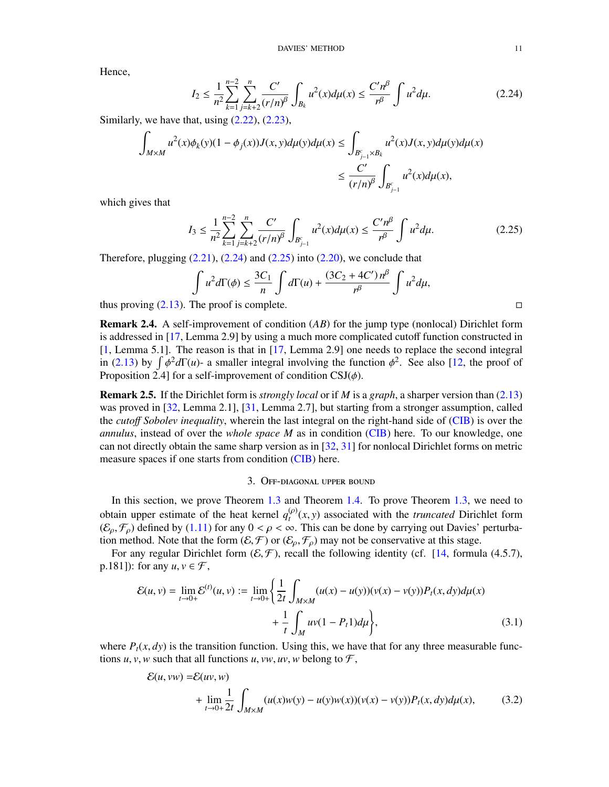Hence,

<span id="page-10-1"></span>
$$
I_2 \le \frac{1}{n^2} \sum_{k=1}^{n-2} \sum_{j=k+2}^n \frac{C'}{(r/n)^\beta} \int_{B_k} u^2(x) d\mu(x) \le \frac{C'n^\beta}{r^\beta} \int u^2 d\mu. \tag{2.24}
$$

Similarly, we have that, using  $(2.22)$ ,  $(2.23)$ ,

$$
\int_{M\times M} u^2(x)\phi_k(y)(1-\phi_j(x))J(x,y)d\mu(y)d\mu(x) \le \int_{B_{j-1}^c\times B_k} u^2(x)J(x,y)d\mu(y)d\mu(x)
$$
  

$$
\le \frac{C'}{(r/n)^\beta} \int_{B_{j-1}^c} u^2(x)d\mu(x),
$$

which gives that

<span id="page-10-2"></span>
$$
I_3 \le \frac{1}{n^2} \sum_{k=1}^{n-2} \sum_{j=k+2}^n \frac{C'}{(r/n)^\beta} \int_{B_{j-1}^c} u^2(x) d\mu(x) \le \frac{C'n^\beta}{r^\beta} \int u^2 d\mu. \tag{2.25}
$$

Therefore, plugging  $(2.21)$ ,  $(2.24)$  and  $(2.25)$  into  $(2.20)$ , we conclude that

$$
\int u^2 d\Gamma(\phi) \le \frac{3C_1}{n} \int d\Gamma(u) + \frac{(3C_2 + 4C')n^{\beta}}{n^{\beta}} \int u^2 d\mu,
$$

thus proving  $(2.13)$ . The proof is complete.

Remark 2.4. A self-improvement of condition (*AB*) for the jump type (nonlocal) Dirichlet form is addressed in [\[17,](#page-25-11) Lemma 2.9] by using a much more complicated cutoff function constructed in [\[1,](#page-24-8) Lemma 5.1]. The reason is that in [\[17,](#page-25-11) Lemma 2.9] one needs to replace the second integral in [\(2.13\)](#page-7-0) by  $\int \phi^2 d\Gamma(u)$ - a smaller integral involving the function  $\phi^2$ . See also [\[12,](#page-25-9) the proof of Proposition 2.41 for a self-improvement of condition CSI(*6*) Proposition 2.4] for a self-improvement of condition  $CSJ(\phi)$ .

Remark 2.5. If the Dirichlet form is *strongly local* or if *M* is a *graph*, a sharper version than [\(2.13\)](#page-7-0) was proved in [\[32,](#page-25-19) Lemma 2.1], [\[31,](#page-25-20) Lemma 2.7], but starting from a stronger assumption, called the *cuto*ff *Sobolev inequality*, wherein the last integral on the right-hand side of [\(CIB\)](#page-3-0) is over the *annulus*, instead of over the *whole space M* as in condition [\(CIB\)](#page-3-0) here. To our knowledge, one can not directly obtain the same sharp version as in [\[32,](#page-25-19) [31\]](#page-25-20) for nonlocal Dirichlet forms on metric measure spaces if one starts from condition [\(CIB\)](#page-3-0) here.

## <span id="page-10-4"></span><span id="page-10-3"></span>3. Off-diagonal upper bound

<span id="page-10-0"></span>In this section, we prove Theorem [1.3](#page-4-3) and Theorem [1.4.](#page-4-1) To prove Theorem [1.3,](#page-4-3) we need to obtain upper estimate of the heat kernel  $q_t^{(\rho)}(x, y)$  associated with the *truncated* Dirichlet form  $(\mathcal{E}, \mathcal{F})$  defined by (1.11) for any  $0 \le \rho \le \infty$ . This can be done by carrying out Davies' perturba- $(\mathcal{E}_{\rho}, \mathcal{F}_{\rho})$  defined by [\(1.11\)](#page-2-5) for any  $0 < \rho < \infty$ . This can be done by carrying out Davies' perturbation method. Note that the form  $(\mathcal{E}, \mathcal{F})$  or  $(\mathcal{E}_{\rho}, \mathcal{F}_{\rho})$  may not be conservative at this stage.

For any regular Dirichlet form  $(\mathcal{E}, \mathcal{F})$ , recall the following identity (cf. [\[14,](#page-25-0) formula (4.5.7), p.181]): for any  $u, v \in \mathcal{F}$ ,

$$
\mathcal{E}(u, v) = \lim_{t \to 0+} \mathcal{E}^{(t)}(u, v) := \lim_{t \to 0+} \left\{ \frac{1}{2t} \int_{M \times M} (u(x) - u(y))(v(x) - v(y)) P_t(x, dy) d\mu(x) + \frac{1}{t} \int_M u v(1 - P_t 1) d\mu \right\},
$$
\n(3.1)

where  $P_t(x, dy)$  is the transition function. Using this, we have that for any three measurable functions *u*, *v*, *w* such that all functions *u*, *vw*, *uv*, *w* belong to  $\mathcal{F}$ ,<br> $\mathcal{E}(u, vw) = \mathcal{E}(uv, w)$ 

$$
\mathcal{E}(u, vw) = \mathcal{E}(uv, w)
$$
  
+  $\lim_{t \to 0+} \frac{1}{2t} \int_{M \times M} (u(x)w(y) - u(y)w(x))(v(x) - v(y))P_t(x, dy)d\mu(x),$  (3.2)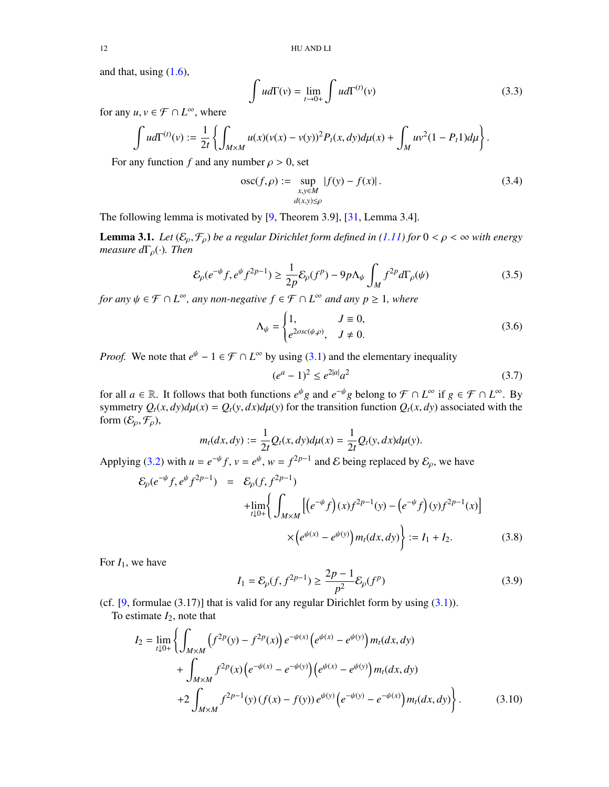and that, using  $(1.6)$ ,

$$
\int u d\Gamma(v) = \lim_{t \to 0+} \int u d\Gamma^{(t)}(v) \tag{3.3}
$$

for any  $u, v \in \mathcal{F} \cap L^{\infty}$ , where

$$
\int u d\Gamma^{(t)}(v) := \frac{1}{2t} \left\{ \int_{M \times M} u(x) (\nu(x) - \nu(y))^2 P_t(x, dy) d\mu(x) + \int_M u \nu^2 (1 - P_t 1) d\mu \right\}.
$$

For any function *f* and any number  $\rho > 0$ , set

$$
\operatorname{osc}(f, \rho) := \sup_{\substack{x, y \in M \\ d(x, y) \le \rho}} |f(y) - f(x)|. \tag{3.4}
$$

The following lemma is motivated by [\[9,](#page-25-17) Theorem 3.9], [\[31,](#page-25-20) Lemma 3.4].

<span id="page-11-3"></span>**Lemma 3.1.** *Let*  $(\mathcal{E}_{\rho}, \mathcal{F}_{\rho})$  *be a regular Dirichlet form defined in* [\(1.11\)](#page-2-5) *for*  $0 < \rho < \infty$  *with energy measure*  $d\Gamma_\rho(\cdot)$ *. Then* 

<span id="page-11-2"></span>
$$
\mathcal{E}_{\rho}(e^{-\psi}f, e^{\psi}f^{2p-1}) \ge \frac{1}{2p}\mathcal{E}_{\rho}(f^{p}) - 9p\Lambda_{\psi} \int_{M} f^{2p}d\Gamma_{\rho}(\psi)
$$
\n(3.5)

*for any*  $\psi \in \mathcal{F} \cap L^{\infty}$ *, any non-negative*  $f \in \mathcal{F} \cap L^{\infty}$  *and any*  $p \ge 1$ *, where* 

<span id="page-11-4"></span>
$$
\Lambda_{\psi} = \begin{cases} 1, & J \equiv 0, \\ e^{2osc(\psi, \rho)}, & J \neq 0. \end{cases}
$$
 (3.6)

*Proof.* We note that  $e^{\psi} - 1 \in \mathcal{F} \cap L^{\infty}$  by using [\(3.1\)](#page-10-3) and the elementary inequality

$$
(e^a - 1)^2 \le e^{2|a|} a^2 \tag{3.7}
$$

for all  $a \in \mathbb{R}$ . It follows that both functions  $e^{\psi}g$  and  $e^{-\psi}g$  belong to  $\mathcal{F} \cap L^{\infty}$  if  $g \in \mathcal{F} \cap L^{\infty}$ . By symmetry  $Q_t(x, dy)d\mu(x) = Q_t(y, dx)d\mu(y)$  for the transition function  $Q_t(x, dy)$  associated with the form  $(\mathcal{E}_{\rho}, \mathcal{F}_{\rho}),$ 

$$
m_t(dx, dy) := \frac{1}{2t} Q_t(x, dy) d\mu(x) = \frac{1}{2t} Q_t(y, dx) d\mu(y).
$$

Applying [\(3.2\)](#page-10-4) with  $u = e^{-\psi} f$ ,  $v = e^{\psi}$ ,  $w = f^{2p-1}$  and E being replaced by  $\mathcal{E}_{\rho}$ , we have

<span id="page-11-1"></span>
$$
\mathcal{E}_{\rho}(e^{-\psi}f, e^{\psi}f^{2p-1}) = \mathcal{E}_{\rho}(f, f^{2p-1})
$$
  
+ 
$$
\lim_{t \downarrow 0+} \left\{ \int_{M \times M} \left[ \left( e^{-\psi} f \right) (x) f^{2p-1} (y) - \left( e^{-\psi} f \right) (y) f^{2p-1} (x) \right] \right\}
$$
  

$$
\times \left( e^{\psi(x)} - e^{\psi(y)} \right) m_t(dx, dy) \right\} := I_1 + I_2.
$$
 (3.8)

For  $I_1$ , we have

<span id="page-11-0"></span>
$$
I_1 = \mathcal{E}_{\rho}(f, f^{2p-1}) \ge \frac{2p-1}{p^2} \mathcal{E}_{\rho}(f^p)
$$
\n(3.9)

(cf.  $[9,$  formulae  $(3.17)$ ] that is valid for any regular Dirichlet form by using  $(3.1)$ ).

To estimate *I*2, note that

$$
I_2 = \lim_{t \downarrow 0+} \left\{ \int_{M \times M} \left( f^{2p}(y) - f^{2p}(x) \right) e^{-\psi(x)} \left( e^{\psi(x)} - e^{\psi(y)} \right) m_t(dx, dy) + \int_{M \times M} f^{2p}(x) \left( e^{-\psi(x)} - e^{-\psi(y)} \right) \left( e^{\psi(x)} - e^{\psi(y)} \right) m_t(dx, dy) + 2 \int_{M \times M} f^{2p-1}(y) \left( f(x) - f(y) \right) e^{\psi(y)} \left( e^{-\psi(y)} - e^{-\psi(x)} \right) m_t(dx, dy) \right\}.
$$
 (3.10)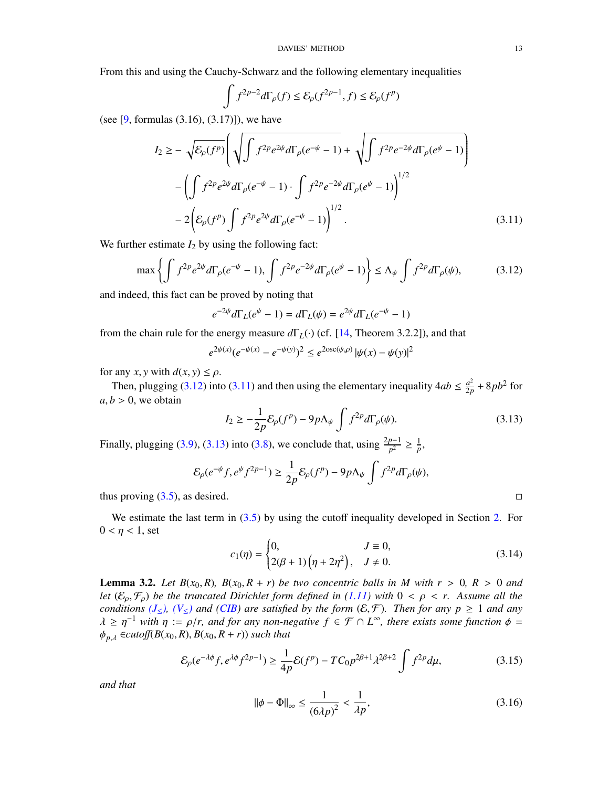From this and using the Cauchy-Schwarz and the following elementary inequalities

<span id="page-12-1"></span>
$$
\int f^{2p-2}d\Gamma_{\rho}(f) \leq \mathcal{E}_{\rho}(f^{2p-1},f) \leq \mathcal{E}_{\rho}(f^{p})
$$

(see  $[9,$  formulas  $(3.16), (3.17)]$ ), we have

$$
I_2 \geq -\sqrt{\mathcal{E}_{\rho}(f^p)} \Bigg( \sqrt{\int f^{2p} e^{2\psi} d\Gamma_{\rho}(e^{-\psi} - 1)} + \sqrt{\int f^{2p} e^{-2\psi} d\Gamma_{\rho}(e^{\psi} - 1)} \Bigg) - \Bigg( \int f^{2p} e^{2\psi} d\Gamma_{\rho}(e^{-\psi} - 1) \cdot \int f^{2p} e^{-2\psi} d\Gamma_{\rho}(e^{\psi} - 1) \Bigg)^{1/2} - 2 \Bigg( \mathcal{E}_{\rho}(f^p) \int f^{2p} e^{2\psi} d\Gamma_{\rho}(e^{-\psi} - 1) \Bigg)^{1/2} . \tag{3.11}
$$

We further estimate  $I_2$  by using the following fact:

<span id="page-12-0"></span>
$$
\max\left\{\int f^{2p}e^{2\psi}d\Gamma_{\rho}(e^{-\psi}-1),\int f^{2p}e^{-2\psi}d\Gamma_{\rho}(e^{\psi}-1)\right\}\le\Lambda_{\psi}\int f^{2p}d\Gamma_{\rho}(\psi),\tag{3.12}
$$

and indeed, this fact can be proved by noting that

$$
e^{-2\psi}d\Gamma_L(e^{\psi} - 1) = d\Gamma_L(\psi) = e^{2\psi}d\Gamma_L(e^{-\psi} - 1)
$$

from the chain rule for the energy measure *d*Γ*L*(·) (cf. [\[14,](#page-25-0) Theorem 3.2.2]), and that

$$
e^{2\psi(x)}(e^{-\psi(x)} - e^{-\psi(y)})^2 \le e^{2\text{osc}(\psi,\rho)} |\psi(x) - \psi(y)|^2
$$

for any *x*, *y* with  $d(x, y) \le \rho$ .

Then, plugging [\(3.12\)](#page-12-0) into [\(3.11\)](#page-12-1) and then using the elementary inequality  $4ab \leq \frac{a^2}{2r}$  $rac{a^2}{2p}$  + 8*pb*<sup>2</sup> for  $a, b > 0$ , we obtain

<span id="page-12-2"></span>
$$
I_2 \ge -\frac{1}{2p} \mathcal{E}_{\rho}(f^p) - 9p\Lambda_{\psi} \int f^{2p} d\Gamma_{\rho}(\psi).
$$
 (3.13)

Finally, plugging [\(3.9\)](#page-11-0), [\(3.13\)](#page-12-2) into [\(3.8\)](#page-11-1), we conclude that, using  $\frac{2p-1}{p^2} \ge \frac{1}{p}$ ,

$$
\mathcal{E}_{\rho}(e^{-\psi}f, e^{\psi}f^{2p-1}) \ge \frac{1}{2p}\mathcal{E}_{\rho}(f^{p}) - 9p\Lambda_{\psi} \int f^{2p}d\Gamma_{\rho}(\psi),
$$

thus proving  $(3.5)$ , as desired.

We estimate the last term in  $(3.5)$  by using the cutoff inequality developed in Section [2.](#page-4-0) For  $0 < \eta < 1$ , set

<span id="page-12-3"></span>
$$
c_1(\eta) = \begin{cases} 0, & J \equiv 0, \\ 2(\beta + 1)\left(\eta + 2\eta^2\right), & J \neq 0. \end{cases}
$$
 (3.14)

<span id="page-12-6"></span>**Lemma 3.2.** Let  $B(x_0, R)$ ,  $B(x_0, R + r)$  be two concentric balls in M with  $r > 0$ ,  $R > 0$  and *let*  $(\mathcal{E}_0, \mathcal{F}_0)$  *be the truncated Dirichlet form defined in [\(1.11\)](#page-2-5)* with  $0 < \rho < r$ . Assume all the *conditions* ( $J_{\leq}$ ), ( $V_{\leq}$ ) *and* (*CIB*) *are satisfied by the form* ( $\mathcal{E}, \mathcal{F}$ )*. Then for any p*  $\geq 1$  *and any*  $\lambda \geq \eta^{-1}$  with  $\eta := \rho/r$ , and for any non-negative  $f \in \mathcal{F} \cap L^{\infty}$ , there exists some function  $\phi = \phi$ .  $\epsilon_{\text{cutoff}}(R(x_0, R) - R(x_0, R + r))$  such that  $\phi_{p,\lambda} \in \text{cutoff}(B(x_0, R), B(x_0, R+r))$  *such that* 

<span id="page-12-4"></span>
$$
\mathcal{E}_{\rho}(e^{-\lambda\phi}f, e^{\lambda\phi}f^{2p-1}) \ge \frac{1}{4p}\mathcal{E}(f^p) - TC_0p^{2\beta+1}\lambda^{2\beta+2} \int f^{2p}d\mu,\tag{3.15}
$$

*and that*

<span id="page-12-5"></span>
$$
\|\phi - \Phi\|_{\infty} \le \frac{1}{(6\lambda p)^2} < \frac{1}{\lambda p},\tag{3.16}
$$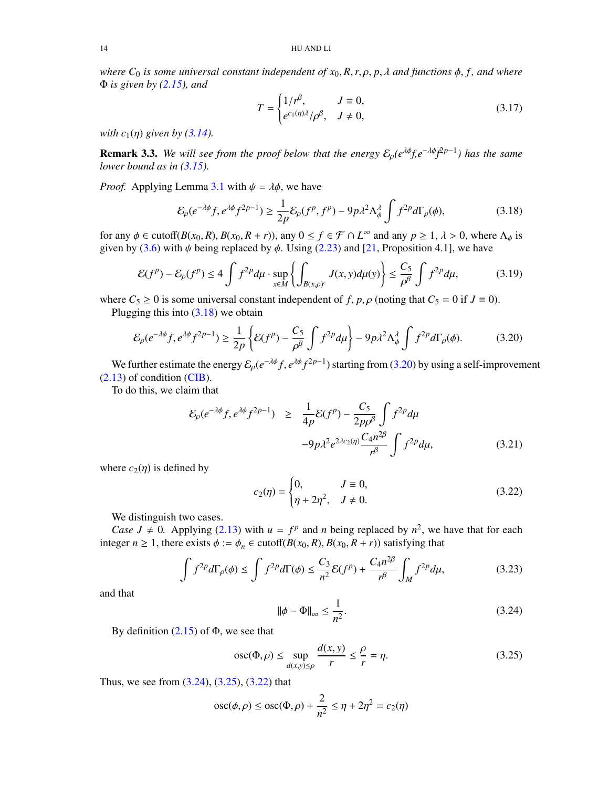*where*  $C_0$  *is some universal constant independent of*  $x_0$ ,  $R$ ,  $r$ ,  $\rho$ ,  $p$ ,  $\lambda$  *and functions*  $\phi$ ,  $f$ , *and where* Φ *is given by [\(2.15\)](#page-7-6), and*

<span id="page-13-7"></span>
$$
T = \begin{cases} 1/r^{\beta}, & J \equiv 0, \\ e^{c_1(\eta)\lambda}/\rho^{\beta}, & J \neq 0, \end{cases}
$$
 (3.17)

*with*  $c_1(\eta)$  *given by* [\(3.14\)](#page-12-3)*.* 

<span id="page-13-8"></span>**Remark 3.3.** *We will see from the proof below that the energy*  $\mathcal{E}_\rho(e^{\lambda\phi} f, e^{-\lambda\phi} f^{2p-1})$  has the same<br>lower hound as in (3.15) *lower bound as in [\(3.15\)](#page-12-4).*

*Proof.* Applying Lemma [3.1](#page-11-3) with  $\psi = \lambda \phi$ , we have

<span id="page-13-0"></span>
$$
\mathcal{E}_{\rho}(e^{-\lambda\phi}f, e^{\lambda\phi}f^{2p-1}) \ge \frac{1}{2p}\mathcal{E}_{\rho}(f^p, f^p) - 9p\lambda^2\Lambda_{\phi}^{\lambda}\int f^{2p}d\Gamma_{\rho}(\phi),\tag{3.18}
$$

for any  $\phi \in \text{cutoff}(B(x_0, R), B(x_0, R + r))$ , any  $0 \le f \in \mathcal{F} \cap L^{\infty}$  and any  $p \ge 1$ ,  $\lambda > 0$ , where  $\Lambda_{\phi}$  is given by (3.6) with *k* being replaced by  $\phi$ . Using (2.23) and [21. Proposition 4.11, we have given by [\(3.6\)](#page-11-4) with  $\psi$  being replaced by  $\phi$ . Using [\(2.23\)](#page-9-2) and [\[21,](#page-25-12) Proposition 4.1], we have

$$
\mathcal{E}(f^p) - \mathcal{E}_\rho(f^p) \le 4 \int f^{2p} d\mu \cdot \sup_{x \in M} \left\{ \int_{B(x,\rho)^c} J(x,y) d\mu(y) \right\} \le \frac{C_5}{\rho^\beta} \int f^{2p} d\mu,
$$
 (3.19)

where  $C_5 \ge 0$  is some universal constant independent of *f*, *p*,  $\rho$  (noting that  $C_5 = 0$  if  $J \equiv 0$ ).<br>Plugging this into (3.18) we obtain

Plugging this into  $(3.18)$  we obtain

<span id="page-13-1"></span>
$$
\mathcal{E}_{\rho}(e^{-\lambda\phi}f, e^{\lambda\phi}f^{2p-1}) \ge \frac{1}{2p} \left\{ \mathcal{E}(f^p) - \frac{C_5}{\rho^{\beta}} \int f^{2p} d\mu \right\} - 9p\lambda^2 \Lambda_{\phi}^{\lambda} \int f^{2p} d\Gamma_{\rho}(\phi). \tag{3.20}
$$

We further estimate the energy  $\mathcal{E}_p(e^{-\lambda\phi}f, e^{\lambda\phi}f^{2p-1})$  starting from [\(3.20\)](#page-13-1) by using a self-improvement (13) of condition (CIB) [\(2.13\)](#page-7-0) of condition [\(CIB\)](#page-3-0).

To do this, we claim that

<span id="page-13-6"></span>
$$
\mathcal{E}_{\rho}(e^{-\lambda\phi}f, e^{\lambda\phi}f^{2p-1}) \geq \frac{1}{4p}\mathcal{E}(f^{p}) - \frac{C_{5}}{2p\rho^{\beta}}\int f^{2p}d\mu
$$
  

$$
-9p\lambda^{2}e^{2\lambda c_{2}(\eta)}\frac{C_{4}n^{2\beta}}{r^{\beta}}\int f^{2p}d\mu,
$$
 (3.21)

where  $c_2(\eta)$  is defined by

<span id="page-13-4"></span>
$$
c_2(\eta) = \begin{cases} 0, & J \equiv 0, \\ \eta + 2\eta^2, & J \neq 0. \end{cases}
$$
 (3.22)

We distinguish two cases.

*Case J*  $\neq$  0. Applying [\(2.13\)](#page-7-0) with *u* =  $f^p$  and *n* being replaced by  $n^2$ , we have that for each integer  $n \ge 1$ , there exists  $\phi := \phi_n \in \text{cutoff}(B(x_0, R), B(x_0, R + r))$  satisfying that

<span id="page-13-5"></span>
$$
\int f^{2p} d\Gamma_p(\phi) \le \int f^{2p} d\Gamma(\phi) \le \frac{C_3}{n^2} \mathcal{E}(f^p) + \frac{C_4 n^{2\beta}}{n^{\beta}} \int_M f^{2p} d\mu,
$$
 (3.23)

and that

<span id="page-13-2"></span>
$$
\|\phi - \Phi\|_{\infty} \le \frac{1}{n^2}.\tag{3.24}
$$

By definition  $(2.15)$  of  $\Phi$ , we see that

<span id="page-13-3"></span>
$$
\operatorname{osc}(\Phi, \rho) \le \sup_{d(x, y) \le \rho} \frac{d(x, y)}{r} \le \frac{\rho}{r} = \eta. \tag{3.25}
$$

Thus, we see from [\(3.24\)](#page-13-2), [\(3.25\)](#page-13-3), [\(3.22\)](#page-13-4) that

$$
\operatorname{osc}(\phi,\rho) \le \operatorname{osc}(\Phi,\rho) + \frac{2}{n^2} \le \eta + 2\eta^2 = c_2(\eta)
$$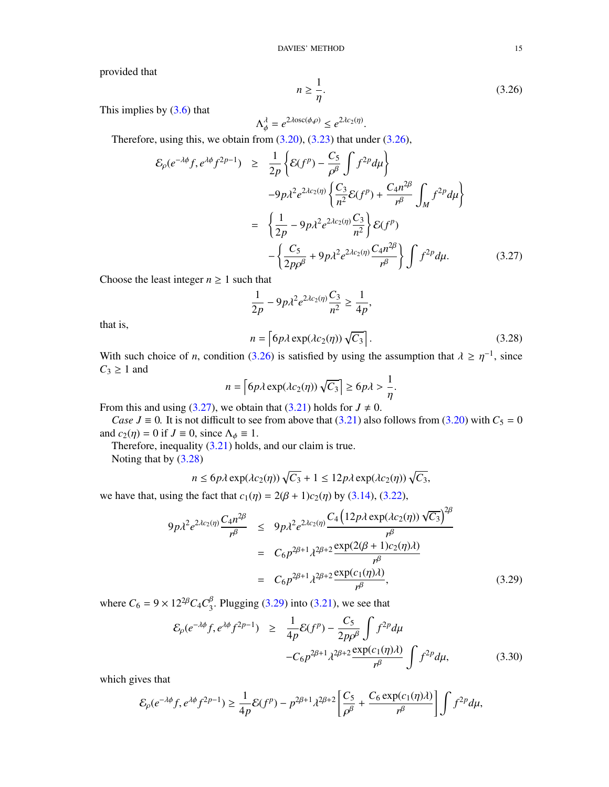provided that

<span id="page-14-0"></span>
$$
n \ge \frac{1}{\eta}.\tag{3.26}
$$

This implies by  $(3.6)$  that

$$
\Lambda_{\phi}^{\lambda} = e^{2\lambda \csc(\phi, \rho)} \le e^{2\lambda c_2(\eta)}
$$

 $\Lambda_{\phi}^{A} = e^{2A\cos(\phi,\rho)} \leq e^{2Ac_2(\eta)}$ .<br>Therefore, using this, we obtain from [\(3.20\)](#page-13-1), [\(3.23\)](#page-13-5) that under [\(3.26\)](#page-14-0),

<span id="page-14-1"></span>
$$
\mathcal{E}_{\rho}(e^{-\lambda\phi}f, e^{\lambda\phi}f^{2p-1}) \geq \frac{1}{2p} \left\{ \mathcal{E}(f^{p}) - \frac{C_{5}}{\rho^{\beta}} \int f^{2p} d\mu \right\}
$$

$$
-9p\lambda^{2}e^{2\lambda c_{2}(\eta)} \left\{ \frac{C_{3}}{n^{2}} \mathcal{E}(f^{p}) + \frac{C_{4}n^{2\beta}}{n^{\beta}} \int_{M} f^{2p} d\mu \right\}
$$

$$
= \left\{ \frac{1}{2p} - 9p\lambda^{2}e^{2\lambda c_{2}(\eta)} \frac{C_{3}}{n^{2}} \right\} \mathcal{E}(f^{p})
$$

$$
- \left\{ \frac{C_{5}}{2p\rho^{\beta}} + 9p\lambda^{2}e^{2\lambda c_{2}(\eta)} \frac{C_{4}n^{2\beta}}{n^{\beta}} \right\} \int f^{2p} d\mu. \tag{3.27}
$$

Choose the least integer  $n \geq 1$  such that

$$
\frac{1}{2p} - 9p\lambda^2 e^{2\lambda c_2(\eta)} \frac{C_3}{n^2} \ge \frac{1}{4p},
$$

that is,

<span id="page-14-2"></span>
$$
n = \left[ 6p\lambda \exp(\lambda c_2(\eta)) \sqrt{C_3} \right].
$$
 (3.28)

With such choice of *n*, condition [\(3.26\)](#page-14-0) is satisfied by using the assumption that  $\lambda \geq \eta^{-1}$ , since  $C_2 > 1$  and  $C_3 \geq 1$  and

$$
n = \left[ 6p\lambda \exp(\lambda c_2(\eta)) \sqrt{C_3} \right] \ge 6p\lambda > \frac{1}{\eta}
$$
  
we obtain that (3.21) holds for  $I \neq 0$ 

From this and using [\(3.27\)](#page-14-1), we obtain that [\(3.21\)](#page-13-6) holds for  $J \neq 0$ .

*Case J* ≡ 0. It is not difficult to see from above that [\(3.21\)](#page-13-6) also follows from [\(3.20\)](#page-13-1) with  $C_5 = 0$ and  $c_2(\eta) = 0$  if  $J \equiv 0$ , since  $\Lambda_{\phi} \equiv 1$ .

Therefore, inequality [\(3.21\)](#page-13-6) holds, and our claim is true.

Noting that by [\(3.28\)](#page-14-2)

$$
n \le 6p\lambda \exp(\lambda c_2(\eta))\sqrt{C_3} + 1 \le 12p\lambda \exp(\lambda c_2(\eta))\sqrt{C_3},
$$

we have that, using the fact that  $c_1(\eta) = 2(\beta + 1)c_2(\eta)$  by [\(3.14\)](#page-12-3), [\(3.22\)](#page-13-4),

<span id="page-14-3"></span>
$$
9p\lambda^{2}e^{2\lambda c_{2}(\eta)}\frac{C_{4}n^{2\beta}}{r^{\beta}} \le 9p\lambda^{2}e^{2\lambda c_{2}(\eta)}\frac{C_{4}(12p\lambda\exp(\lambda c_{2}(\eta))\sqrt{C_{3}})^{2\beta}}{r^{\beta}}
$$
  

$$
= C_{6}p^{2\beta+1}\lambda^{2\beta+2}\frac{\exp(2(\beta+1)c_{2}(\eta)\lambda)}{r^{\beta}}
$$
  

$$
= C_{6}p^{2\beta+1}\lambda^{2\beta+2}\frac{\exp(c_{1}(\eta)\lambda)}{r^{\beta}},
$$
 (3.29)

where  $C_6 = 9 \times 12^{2\beta} C_4 C_3^{\beta}$ . Plugging [\(3.29\)](#page-14-3) into [\(3.21\)](#page-13-6), we see that

$$
\mathcal{E}_{\rho}(e^{-\lambda\phi}f, e^{\lambda\phi}f^{2p-1}) \geq \frac{1}{4p}\mathcal{E}(f^{p}) - \frac{C_{5}}{2p\rho^{\beta}}\int f^{2p}d\mu
$$
  
-
$$
-C_{6}p^{2\beta+1}\lambda^{2\beta+2}\frac{\exp(c_{1}(\eta)\lambda)}{r^{\beta}}\int f^{2p}d\mu,
$$
 (3.30)

which gives that

$$
\mathcal{E}_{\rho}(e^{-\lambda\phi}f, e^{\lambda\phi}f^{2p-1}) \geq \frac{1}{4p}\mathcal{E}(f^p) - p^{2\beta+1}\lambda^{2\beta+2} \left[\frac{C_5}{\rho^{\beta}} + \frac{C_6 \exp(c_1(\eta)\lambda)}{r^{\beta}}\right] \int f^{2p}d\mu,
$$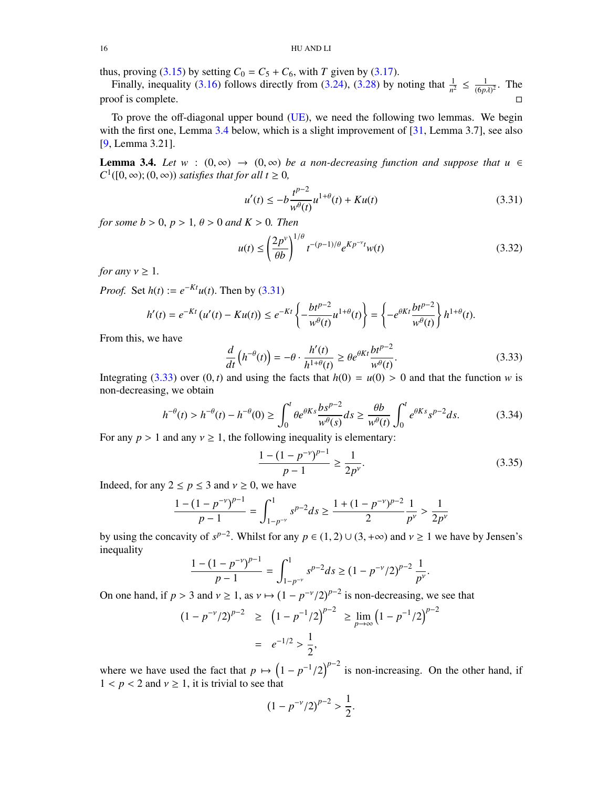### 16 HU AND LI

thus, proving [\(3.15\)](#page-12-4) by setting  $C_0 = C_5 + C_6$ , with *T* given by [\(3.17\)](#page-13-7).

Finally, inequality [\(3.16\)](#page-12-5) follows directly from [\(3.24\)](#page-13-2), [\(3.28\)](#page-14-2) by noting that  $\frac{1}{n^2} \leq \frac{1}{(6p)}$  $\frac{1}{(6p\lambda)^2}$ . The proof is complete.  $\Box$ 

To prove the off-diagonal upper bound [\(UE\)](#page-3-3), we need the following two lemmas. We begin with the first one, Lemma [3.4](#page-15-0) below, which is a slight improvement of [\[31,](#page-25-20) Lemma 3.7], see also [\[9,](#page-25-17) Lemma 3.21].

<span id="page-15-0"></span>**Lemma 3.4.** *Let*  $w : (0, \infty) \to (0, \infty)$  *be a non-decreasing function and suppose that*  $u \in$  $C^1([0,\infty);(0,\infty))$  *satisfies that for all t*  $\geq 0$ *,* 

<span id="page-15-1"></span>
$$
u'(t) \le -b \frac{t^{p-2}}{w^{\theta}(t)} u^{1+\theta}(t) + K u(t)
$$
\n(3.31)

*for some b* > 0, *p* > 1,  $\theta$  > 0 *and K* > 0*. Then* 

<span id="page-15-5"></span>
$$
u(t) \le \left(\frac{2p^{\nu}}{\theta b}\right)^{1/\theta} t^{-(p-1)/\theta} e^{Kp^{-\nu}t} w(t)
$$
\n(3.32)

*for any*  $v \geq 1$ *.* 

*Proof.* Set *h*(*t*) :=  $e^{-Kt}u(t)$ . Then by [\(3.31\)](#page-15-1)

$$
h'(t) = e^{-Kt} \left( u'(t) - Ku(t) \right) \le e^{-Kt} \left\{ -\frac{bt^{p-2}}{w^{\theta}(t)} u^{1+\theta}(t) \right\} = \left\{ -e^{\theta Kt} \frac{bt^{p-2}}{w^{\theta}(t)} \right\} h^{1+\theta}(t).
$$

From this, we have

<span id="page-15-2"></span>
$$
\frac{d}{dt}\left(h^{-\theta}(t)\right) = -\theta \cdot \frac{h'(t)}{h^{1+\theta}(t)} \ge \theta e^{\theta K t} \frac{bt^{p-2}}{w^{\theta}(t)}.
$$
\n(3.33)

Integrating [\(3.33\)](#page-15-2) over  $(0, t)$  and using the facts that  $h(0) = u(0) > 0$  and that the function *w* is non-decreasing, we obtain

<span id="page-15-4"></span>
$$
h^{-\theta}(t) > h^{-\theta}(t) - h^{-\theta}(0) \ge \int_0^t \theta e^{\theta K s} \frac{bs^{p-2}}{w^{\theta}(s)} ds \ge \frac{\theta b}{w^{\theta}(t)} \int_0^t e^{\theta K s} s^{p-2} ds. \tag{3.34}
$$

For any  $p > 1$  and any  $v \ge 1$ , the following inequality is elementary:

<span id="page-15-3"></span>
$$
\frac{1 - (1 - p^{-\nu})^{p-1}}{p - 1} \ge \frac{1}{2p^{\nu}}.\tag{3.35}
$$

Indeed, for any  $2 \le p \le 3$  and  $v \ge 0$ , we have

$$
\frac{1 - (1 - p^{-\nu})^{p-1}}{p - 1} = \int_{1 - p^{-\nu}}^{1} s^{p-2} ds \ge \frac{1 + (1 - p^{-\nu})^{p-2}}{2} \frac{1}{p^{\nu}} > \frac{1}{2p^{\nu}}
$$

by using the concavity of  $s^{p-2}$ . Whilst for any  $p \in (1, 2) \cup (3, +\infty)$  and  $v \ge 1$  we have by Jensen's inequality inequality

$$
\frac{1 - (1 - p^{-\nu})^{p-1}}{p - 1} = \int_{1 - p^{-\nu}}^{1} s^{p-2} ds \ge (1 - p^{-\nu}/2)^{p-2} \frac{1}{p^{\nu}}
$$

On one hand, if  $p > 3$  and  $v \ge 1$ , as  $v \mapsto (1 - p^{-\nu}/2)^{p-2}$  is non-decreasing, we see that

$$
(1 - p^{-\nu}/2)^{p-2} \ge (1 - p^{-1}/2)^{p-2} \ge \lim_{p \to \infty} (1 - p^{-1}/2)^{p-2}
$$

$$
= e^{-1/2} > \frac{1}{2},
$$

where we have used the fact that  $p \mapsto (1 - p^{-1}/2)^{p-2}$  is non-increasing. On the other hand, if  $1 < p < 2$  and  $y > 1$  it is trivial to see that  $1 < p < 2$  and  $v \ge 1$ , it is trivial to see that

$$
(1 - p^{-\nu}/2)^{p-2} > \frac{1}{2}.
$$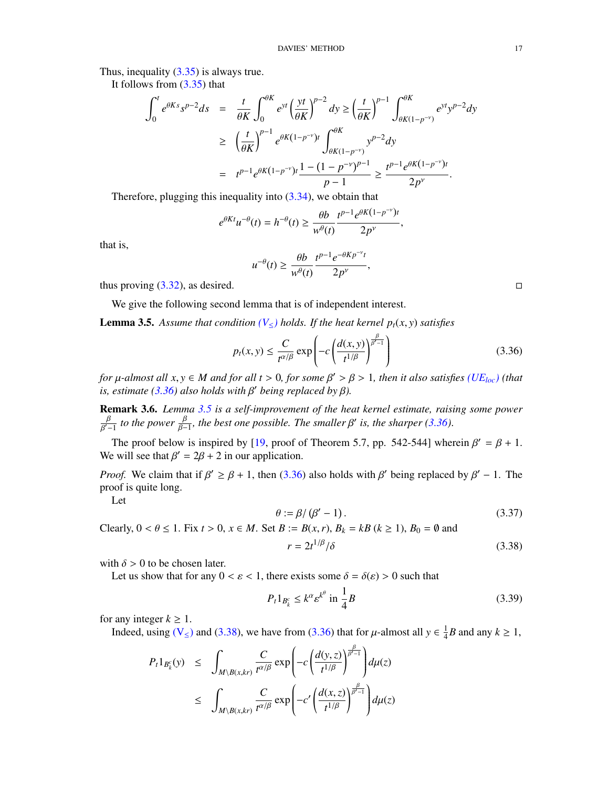Thus, inequality  $(3.35)$  is always true.

It follows from [\(3.35\)](#page-15-3) that

$$
\int_0^t e^{\theta K s} s^{p-2} ds = \frac{t}{\theta K} \int_0^{\theta K} e^{yt} \left(\frac{yt}{\theta K}\right)^{p-2} dy \ge \left(\frac{t}{\theta K}\right)^{p-1} \int_{\theta K(1-p^{-\nu})}^{\theta K} e^{yt} y^{p-2} dy
$$
  
\n
$$
\ge \left(\frac{t}{\theta K}\right)^{p-1} e^{\theta K(1-p^{-\nu})t} \int_{\theta K(1-p^{-\nu})}^{\theta K} y^{p-2} dy
$$
  
\n
$$
= t^{p-1} e^{\theta K(1-p^{-\nu})t} \frac{1 - (1-p^{-\nu})^{p-1}}{p-1} \ge \frac{t^{p-1} e^{\theta K(1-p^{-\nu})t}}{2p^{\nu}}.
$$

Therefore, plugging this inequality into [\(3.34\)](#page-15-4), we obtain that

$$
e^{\theta Kt}u^{-\theta}(t) = h^{-\theta}(t) \ge \frac{\theta b}{w^{\theta}(t)} \frac{t^{p-1}e^{\theta K(1-p^{-\nu})t}}{2p^{\nu}},
$$

that is,

$$
u^{-\theta}(t) \geq \frac{\theta b}{w^{\theta}(t)} \frac{t^{p-1} e^{-\theta K p^{-\nu}t}}{2p^{\nu}},
$$

thus proving  $(3.32)$ , as desired.

We give the following second lemma that is of independent interest.

<span id="page-16-0"></span>**Lemma 3.5.** Assume that condition  $(V_{\leq})$  $(V_{\leq})$  holds. If the heat kernel  $p_t(x, y)$  satisfies

<span id="page-16-2"></span>
$$
p_t(x, y) \le \frac{C}{t^{\alpha/\beta}} \exp\left(-c\left(\frac{d(x, y)}{t^{1/\beta}}\right)^{\frac{\beta}{\beta'-1}}\right) \tag{3.36}
$$

*for*  $\mu$ -almost all  $x, y \in M$  and for all  $t > 0$ , for some  $\beta' > \beta > 1$ , then it also satisfies [\(UE](#page-3-4)<sub>loc</sub>) (that is estimate (3.36) also holds with  $\beta'$  being replaced by  $\beta$ )  $\alpha$  *is, estimate* [\(3.36\)](#page-16-2) also holds with  $\beta'$  being replaced by  $\beta$ ).

<span id="page-16-1"></span>Remark 3.6. *Lemma [3.5](#page-16-0) is a self-improvement of the heat kernel estimate, raising some power*  $\frac{\beta}{\beta-1}$  to the power  $\frac{\beta}{\beta-1}$ , the best one possible. The smaller  $\beta'$  is, the sharper [\(3.36\)](#page-16-2).

Γ The proof below is inspired by [\[19,](#page-25-22) proof of Theorem 5.7, pp. 542-544] wherein  $\beta' = \beta + 1$ .<br>Similar get that  $\beta' = 2\beta + 2$  in our application We will see that  $\beta' = 2\beta + 2$  in our application.

*Proof.* We claim that if  $\beta' \ge \beta + 1$ , then [\(3.36\)](#page-16-2) also holds with  $\beta'$  being replaced by  $\beta' - 1$ . The proof is quite long proof is quite long.

Let

<span id="page-16-6"></span>
$$
\theta := \beta / (\beta' - 1).
$$
\n
$$
A \cdot B \cdot B(\alpha, \alpha) \cdot B \cdot B \cdot (A \ge 1) \cdot B \cdot (A \text{ and } \alpha \le 1).
$$
\n(3.37)

Clearly, 0 <  $\theta$  ≤ 1. Fix *t* > 0, *x* ∈ *M*. Set *B* := *B*(*x*, *r*), *B*<sub>*k*</sub> = *kB* (*k* ≥ 1), *B*<sub>0</sub> = ∅ and

<span id="page-16-3"></span>
$$
r = 2t^{1/\beta}/\delta \tag{3.38}
$$

with  $\delta > 0$  to be chosen later.

Let us show that for any  $0 < \varepsilon < 1$ , there exists some  $\delta = \delta(\varepsilon) > 0$  such that

<span id="page-16-5"></span>
$$
P_t 1_{B_k^c} \le k^\alpha \varepsilon^{k^\theta} \text{ in } \frac{1}{4}B
$$
 (3.39)

for any integer  $k \geq 1$ .

Indeed, using ( $V \le$ ) and [\(3.38\)](#page-16-3), we have from [\(3.36\)](#page-16-2) that for  $\mu$ -almost all  $y \in \frac{1}{4}$  $\frac{1}{4}B$  and any  $k \geq 1$ ,

<span id="page-16-4"></span>
$$
P_t 1_{B_k^c}(y) \le \int_{M \setminus B(x,kr)} \frac{C}{t^{\alpha/\beta}} \exp\left(-c\left(\frac{d(y,z)}{t^{1/\beta}}\right)^{\frac{\beta}{\beta'-1}}\right) d\mu(z)
$$
  

$$
\le \int_{M \setminus B(x,kr)} \frac{C}{t^{\alpha/\beta}} \exp\left(-c'\left(\frac{d(x,z)}{t^{1/\beta}}\right)^{\frac{\beta}{\beta'-1}}\right) d\mu(z)
$$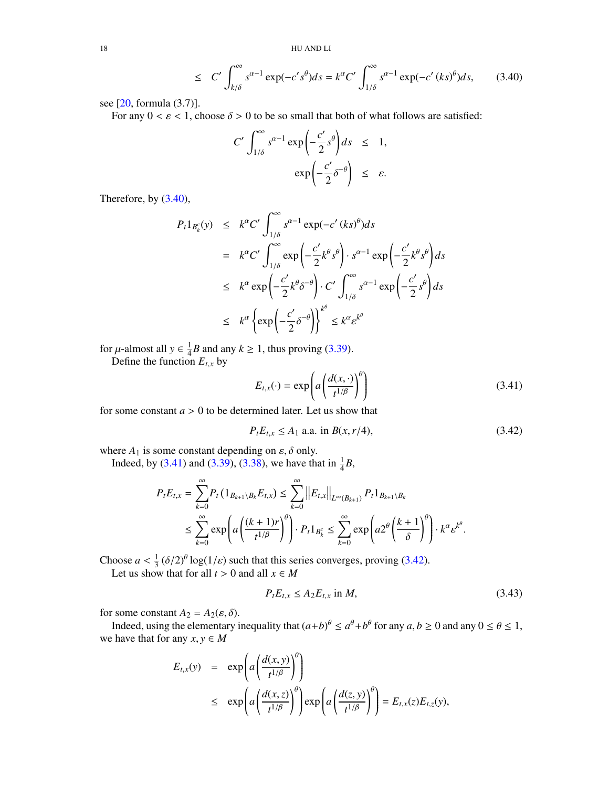18 HU AND LI

$$
\leq C' \int_{k/\delta}^{\infty} s^{\alpha-1} \exp(-c' s^{\theta}) ds = k^{\alpha} C' \int_{1/\delta}^{\infty} s^{\alpha-1} \exp(-c' (ks)^{\theta}) ds, \qquad (3.40)
$$

see [\[20,](#page-25-23) formula (3.7)].

For any  $0 < \varepsilon < 1$ , choose  $\delta > 0$  to be so small that both of what follows are satisfied:

$$
C' \int_{1/\delta}^{\infty} s^{\alpha - 1} \exp\left(-\frac{c'}{2} s^{\theta}\right) ds \leq 1,
$$
  

$$
\exp\left(-\frac{c'}{2} \delta^{-\theta}\right) \leq \varepsilon.
$$

Therefore, by [\(3.40\)](#page-16-4),

$$
P_t 1_{B_k^c}(y) \le k^{\alpha} C' \int_{1/\delta}^{\infty} s^{\alpha-1} \exp(-c'(ks)^{\theta}) ds
$$
  
\n
$$
= k^{\alpha} C' \int_{1/\delta}^{\infty} \exp\left(-\frac{c'}{2}k^{\theta} s^{\theta}\right) \cdot s^{\alpha-1} \exp\left(-\frac{c'}{2}k^{\theta} s^{\theta}\right) ds
$$
  
\n
$$
\le k^{\alpha} \exp\left(-\frac{c'}{2}k^{\theta} \delta^{-\theta}\right) \cdot C' \int_{1/\delta}^{\infty} s^{\alpha-1} \exp\left(-\frac{c'}{2} s^{\theta}\right) ds
$$
  
\n
$$
\le k^{\alpha} \left\{ \exp\left(-\frac{c'}{2} \delta^{-\theta}\right) \right\}^{k^{\theta}} \le k^{\alpha} \varepsilon^{k^{\theta}}
$$

for  $\mu$ -almost all  $y \in \frac{1}{4}$ <br>Define the function  $\frac{1}{4}B$  and any  $k \ge 1$ , thus proving [\(3.39\)](#page-16-5).

Define the function  $E_{t,x}$  by

<span id="page-17-0"></span>
$$
E_{t,x}(\cdot) = \exp\left(a\left(\frac{d(x,\cdot)}{t^{1/\beta}}\right)^{\theta}\right) \tag{3.41}
$$

for some constant  $a > 0$  to be determined later. Let us show that

<span id="page-17-1"></span>
$$
P_t E_{t,x} \le A_1 \text{ a.a. in } B(x, r/4), \tag{3.42}
$$

where  $A_1$  is some constant depending on  $\varepsilon$ ,  $\delta$  only.

Indeed, by [\(3.41\)](#page-17-0) and [\(3.39\)](#page-16-5), [\(3.38\)](#page-16-3), we have that in  $\frac{1}{4}B$ ,

$$
P_{t}E_{t,x} = \sum_{k=0}^{\infty} P_{t} (1_{B_{k+1} \setminus B_{k}} E_{t,x}) \le \sum_{k=0}^{\infty} ||E_{t,x}||_{L^{\infty}(B_{k+1})} P_{t} 1_{B_{k+1} \setminus B_{k}}
$$
  

$$
\le \sum_{k=0}^{\infty} \exp \left( a \left( \frac{(k+1)r}{t^{1/\beta}} \right)^{\theta} \right) \cdot P_{t} 1_{B_{k}^{c}} \le \sum_{k=0}^{\infty} \exp \left( a 2^{\theta} \left( \frac{k+1}{\delta} \right)^{\theta} \right) \cdot k^{\alpha} \varepsilon^{k^{\theta}}.
$$

Choose  $a < \frac{1}{3}$ <br>I et us show  $\frac{1}{3}$  ( $\delta/2$ )<sup>*θ*</sup> log( $1/\varepsilon$ ) such that this series converges, proving [\(3.42\)](#page-17-1).

Let us show that for all  $t > 0$  and all  $x \in M$ 

<span id="page-17-2"></span>
$$
P_t E_{t,x} \le A_2 E_{t,x} \text{ in } M,
$$
\n
$$
(3.43)
$$

for some constant  $A_2 = A_2(\varepsilon, \delta)$ .

Indeed, using the elementary inequality that  $(a+b)^{\theta} \le a^{\theta}+b^{\theta}$  for any  $a, b \ge 0$  and any  $0 \le \theta \le 1$ , there that for any  $x, y \in M$ we have that for any  $x, y \in M$ 

$$
E_{t,x}(y) = \exp\left(a\left(\frac{d(x,y)}{t^{1/\beta}}\right)^{\theta}\right)
$$
  
 
$$
\leq \exp\left(a\left(\frac{d(x,z)}{t^{1/\beta}}\right)^{\theta}\right)\exp\left(a\left(\frac{d(z,y)}{t^{1/\beta}}\right)^{\theta}\right) = E_{t,x}(z)E_{t,z}(y),
$$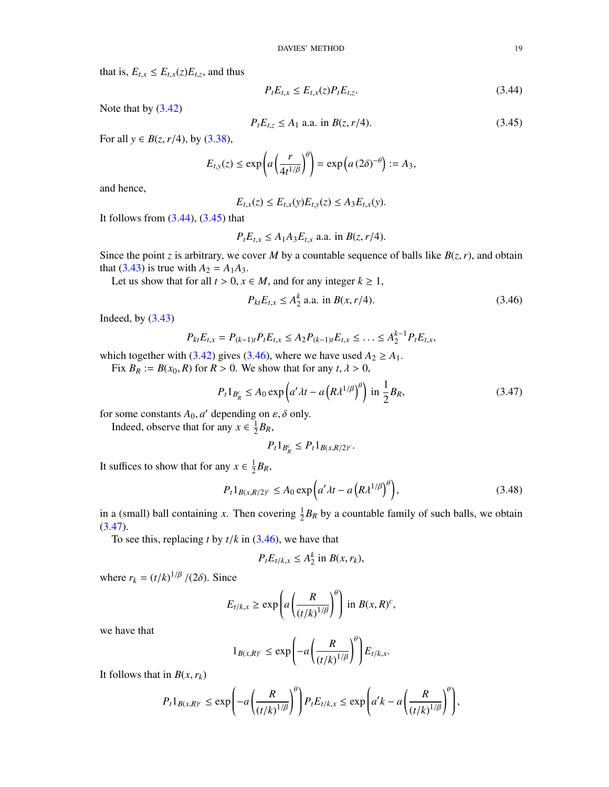that is,  $E_{t,x} \leq E_{t,x}(z)E_{t,z}$ , and thus

<span id="page-18-0"></span>
$$
P_t E_{t,x} \le E_{t,x}(z) P_t E_{t,z}.
$$
\n(3.44)

Note that by [\(3.42\)](#page-17-1)

<span id="page-18-1"></span>
$$
P_t E_{t,z} \le A_1 \text{ a.a. in } B(z, r/4). \tag{3.45}
$$

For all *y* ∈ *B*(*z*, *r*/4), by [\(3.38\)](#page-16-3),

$$
E_{t,y}(z) \le \exp\left(a\left(\frac{r}{4t^{1/\beta}}\right)^{\theta}\right) = \exp\left(a\left(2\delta\right)^{-\theta}\right) := A_3,
$$

and hence,

$$
E_{t,x}(z) \le E_{t,x}(y)E_{t,y}(z) \le A_3E_{t,x}(y).
$$

It follows from  $(3.44)$ ,  $(3.45)$  that

$$
P_t E_{t,x} \leq A_1 A_3 E_{t,x}
$$
 a.a. in  $B(z, r/4)$ .

Since the point *z* is arbitrary, we cover *M* by a countable sequence of balls like  $B(z, r)$ , and obtain that [\(3.43\)](#page-17-2) is true with  $A_2 = A_1 A_3$ .

Let us show that for all  $t > 0$ ,  $x \in M$ , and for any integer  $k \ge 1$ ,

<span id="page-18-2"></span>
$$
P_{kt}E_{t,x} \le A_2^k \text{ a.a. in } B(x, r/4). \tag{3.46}
$$

Indeed, by [\(3.43\)](#page-17-2)

$$
P_{kt}E_{t,x}=P_{(k-1)t}P_{t}E_{t,x}\leq A_2P_{(k-1)t}E_{t,x}\leq\ldots\leq A_2^{k-1}P_{t}E_{t,x},
$$

which together with [\(3.42\)](#page-17-1) gives [\(3.46\)](#page-18-2), where we have used  $A_2 \ge A_1$ .

Fix  $B_R := B(x_0, R)$  for  $R > 0$ . We show that for any  $t, \lambda > 0$ ,

<span id="page-18-3"></span>
$$
P_t 1_{B_R^c} \le A_0 \exp\left(a'\lambda t - a\left(R\lambda^{1/\beta}\right)^\theta\right) \text{ in } \frac{1}{2}B_R,\tag{3.47}
$$

for some constants  $A_0$ , *a*' depending on  $\varepsilon$ ,  $\delta$  only.<br>Indeed, observe that for any  $r \in \frac{1}{2}R_p$ .

Indeed, observe that for any  $x \in \frac{1}{2}$  $\frac{1}{2}B_R$ ,

$$
P_t 1_{B_R^c} \leq P_t 1_{B(x,R/2)^c}.
$$

It suffices to show that for any  $x \in \frac{1}{2}$  $\frac{1}{2}B_R$ ,

<span id="page-18-4"></span>
$$
P_t 1_{B(x,R/2)^c} \le A_0 \exp\left(a'\lambda t - a\left(R\lambda^{1/\beta}\right)^\theta\right),\tag{3.48}
$$

in a (small) ball containing *x*. Then covering  $\frac{1}{2}B_R$  by a countable family of such balls, we obtain  $(3.47).$  $(3.47).$ 

To see this, replacing *<sup>t</sup>* by *<sup>t</sup>*/*<sup>k</sup>* in [\(3.46\)](#page-18-2), we have that

$$
P_t E_{t/k, x} \le A_2^k \text{ in } B(x, r_k),
$$

where  $r_k = (t/k)^{1/\beta}/(2\delta)$ . Since

$$
E_{t/k,x} \geq \exp\left(a\left(\frac{R}{(t/k)^{1/\beta}}\right)^{\theta}\right) \text{ in } B(x,R)^c,
$$

we have that

$$
1_{B(x,R)^c} \leq \exp\left(-a\left(\frac{R}{(t/k)^{1/\beta}}\right)^{\theta}\right)E_{t/k,x}.
$$

It follows that in  $B(x, r_k)$ 

$$
P_t 1_{B(x,R)^c} \leq \exp\left(-a\left(\frac{R}{(t/k)^{1/\beta}}\right)^{\theta}\right) P_t E_{t/k,x} \leq \exp\left(a'k - a\left(\frac{R}{(t/k)^{1/\beta}}\right)^{\theta}\right),
$$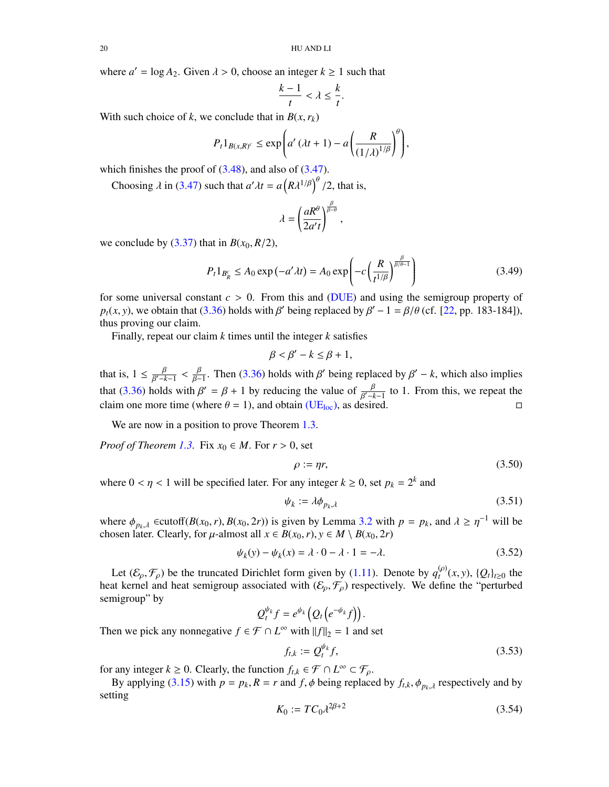where  $a' = \log A_2$ . Given  $\lambda > 0$ , choose an integer  $k \ge 1$  such that

$$
\frac{k-1}{t} < \lambda \le \frac{k}{t}.
$$

With such choice of *k*, we conclude that in  $B(x, r_k)$ 

$$
P_t 1_{B(x,R)^c} \le \exp\left(a' \left(\lambda t + 1\right) - a\left(\frac{R}{\left(1/\lambda\right)^{1/\beta}}\right)^{\theta}\right),
$$

which finishes the proof of  $(3.48)$ , and also of  $(3.47)$ .

Choosing  $\lambda$  in [\(3.47\)](#page-18-3) such that  $a'\lambda t = a (R\lambda^{1/\beta})^b/2$ , that is,

$$
\lambda = \left(\frac{aR^{\theta}}{2a't}\right)^{\frac{\beta}{\beta-\theta}},
$$

we conclude by  $(3.37)$  that in  $B(x_0, R/2)$ ,

$$
P_t 1_{B_R^c} \le A_0 \exp(-a' \lambda t) = A_0 \exp\left(-c \left(\frac{R}{t^{1/\beta}}\right)^{\frac{\beta}{\beta/\theta - 1}}\right)
$$
 (3.49)

for some universal constant *<sup>c</sup>* > 0. From this and [\(DUE\)](#page-3-2) and using the semigroup property of  $p_t(x, y)$ , we obtain that [\(3.36\)](#page-16-2) holds with β' being replaced by  $\beta' - 1 = \beta/\theta$  (cf. [\[22,](#page-25-24) pp. 183-184]), thus proving our claim thus proving our claim.

Finally, repeat our claim *k* times until the integer *k* satisfies

$$
\beta < \beta' - k \leq \beta + 1,
$$

that is,  $1 \le \frac{\beta}{\beta^2 - k - 1} < \frac{\beta}{\beta - 1}$ . Then [\(3.36\)](#page-16-2) holds with  $\beta'$  being replaced by  $\beta' - k$ , which also implies  $β' - k - 1$ <br>11 · that [\(3.36\)](#page-16-2) holds with  $\beta' = \beta + 1$  by reducing the value of  $\frac{\beta}{\beta' - k - 1}$  to 1. From this, we repeat the claim one more time (where  $\beta = 1$ ) and obtain (UE<sub>*k*</sub>)</sub> as desired claim one more time (where  $\theta = 1$ ), and obtain [\(UE](#page-3-4)<sub>loc</sub>), as desired.

We are now in a position to prove Theorem [1.3.](#page-4-3)

*Proof of Theorem [1.3.](#page-4-3)* Fix  $x_0 \in M$ . For  $r > 0$ , set

$$
\rho := \eta r,\tag{3.50}
$$

where  $0 < \eta < 1$  will be specified later. For any integer  $k \ge 0$ , set  $p_k = 2^k$  and

<span id="page-19-0"></span>
$$
\psi_k := \lambda \phi_{p_k, \lambda} \tag{3.51}
$$

where  $\phi_{p_k, \lambda}$  ∈cutoff(*B*(*x*<sub>0</sub>, *r*), *B*(*x*<sub>0</sub>, 2*r*)) is given by Lemma [3.2](#page-12-6) with  $p = p_k$ , and  $\lambda \geq \eta^{-1}$  will be chosen later. Clearly, for *u*-almost all  $x \in B(x_0, r)$ ,  $y \in M \setminus B(x_0, 2r)$ . chosen later. Clearly, for  $\mu$ -almost all  $x \in B(x_0, r)$ ,  $y \in M \setminus B(x_0, 2r)$ 

$$
\psi_k(y) - \psi_k(x) = \lambda \cdot 0 - \lambda \cdot 1 = -\lambda.
$$
\n(3.52)

Let  $(\mathcal{E}_{\rho}, \mathcal{F}_{\rho})$  be the truncated Dirichlet form given by [\(1.11\)](#page-2-5). Denote by  $q_t^{(\rho)}(x, y)$ ,  $\{Q_t\}_{t\geq 0}$  the heat kernel and heat semigroup associated with  $(\mathcal{E}_{\rho}, \mathcal{F}_{\rho})$  respectively. We define the "perturbed" semigroup" by

$$
Q_t^{\psi_k}f=e^{\psi_k}\big(Q_t\big(e^{-\psi_k}f\big)\big)
$$

Then we pick any nonnegative  $f \in \mathcal{F} \cap L^{\infty}$  with  $||f||_2 = 1$  and set

$$
f_{t,k} := Q_t^{\psi_k} f,\tag{3.53}
$$

for any integer  $k \ge 0$ . Clearly, the function  $f_{t,k} \in \mathcal{F} \cap L^{\infty} \subset \mathcal{F}_{\rho}$ .<br>By applying (2.15) with  $p = p$ ,  $P = x$  and  $f$   $\phi$  being replace

By applying [\(3.15\)](#page-12-4) with  $p = p_k$ ,  $R = r$  and  $f$ ,  $\phi$  being replaced by  $f_{t,k}$ ,  $\phi_{p_k,\lambda}$  respectively and by setting

<span id="page-19-1"></span>
$$
K_0 := TC_0 \lambda^{2\beta + 2} \tag{3.54}
$$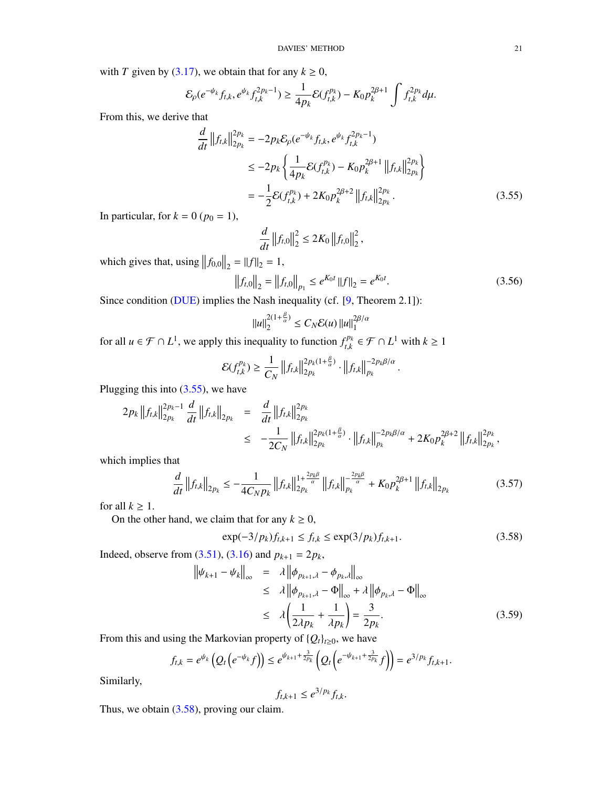with *T* given by [\(3.17\)](#page-13-7), we obtain that for any  $k \ge 0$ ,

$$
\mathcal{E}_\rho(e^{-\psi_k}f_{t,k},e^{\psi_k}f_{t,k}^{2p_k-1})\geq \frac{1}{4p_k}\mathcal{E}(f_{t,k}^{p_k})-K_0p_k^{2\beta+1}\int f_{t,k}^{2p_k}d\mu.
$$

From this, we derive that

$$
\frac{d}{dt} ||f_{t,k}||_{2p_k}^{2p_k} = -2p_k \mathcal{E}_{\rho}(e^{-\psi_k} f_{t,k}, e^{\psi_k} f_{t,k}^{2p_k-1})
$$
\n
$$
\leq -2p_k \left\{ \frac{1}{4p_k} \mathcal{E}(f_{t,k}^{p_k}) - K_0 p_k^{2\beta+1} ||f_{t,k}||_{2p_k}^{2p_k} \right\}
$$
\n
$$
= -\frac{1}{2} \mathcal{E}(f_{t,k}^{p_k}) + 2K_0 p_k^{2\beta+2} ||f_{t,k}||_{2p_k}^{2p_k}.
$$
\n(3.55)

In particular, for  $k = 0$  ( $p_0 = 1$ ),

<span id="page-20-0"></span>
$$
\frac{d}{dt} \|f_{t,0}\|_2^2 \le 2K_0 \|f_{t,0}\|_2^2,
$$

which gives that, using  $||f_{0,0}||_2 = ||f||_2 = 1$ ,

<span id="page-20-3"></span>
$$
\left\|f_{t,0}\right\|_{2} = \left\|f_{t,0}\right\|_{p_{1}} \le e^{K_{0}t} \left\|f\right\|_{2} = e^{K_{0}t}.
$$
\n(3.56)

Since condition [\(DUE\)](#page-3-2) implies the Nash inequality (cf. [\[9,](#page-25-17) Theorem 2.1]):

$$
||u||_2^{2(1+\frac{\beta}{\alpha})} \le C_N \mathcal{E}(u) ||u||_1^{2\beta/\alpha}
$$

for all  $u \in \mathcal{F} \cap L^1$ , we apply this inequality to function  $f_{t}^{p_k}$  $t^{p_k}$  ∈  $\mathcal{F} \cap L^1$  with  $k \ge 1$ 

$$
\mathcal{E}(f_{t,k}^{p_k}) \geq \frac{1}{C_N} \left\|f_{t,k}\right\|_{2p_k}^{2p_k(1+\frac{\beta}{\alpha})} \cdot \left\|f_{t,k}\right\|_{p_k}^{-2p_k\beta/\alpha}.
$$

Plugging this into [\(3.55\)](#page-20-0), we have

$$
2p_{k} ||f_{t,k}||_{2p_{k}}^{2p_{k}-1} \frac{d}{dt} ||f_{t,k}||_{2p_{k}} = \frac{d}{dt} ||f_{t,k}||_{2p_{k}}^{2p_{k}}
$$
  

$$
\leq -\frac{1}{2C_{N}} ||f_{t,k}||_{2p_{k}}^{2p_{k}(1+\frac{\beta}{\alpha})} \cdot ||f_{t,k}||_{p_{k}}^{-2p_{k}\beta/\alpha} + 2K_{0}p_{k}^{2\beta+2} ||f_{t,k}||_{2p_{k}}^{2p_{k}},
$$

which implies that

<span id="page-20-2"></span>
$$
\frac{d}{dt} \left\|f_{t,k}\right\|_{2p_k} \leq -\frac{1}{4C_N p_k} \left\|f_{t,k}\right\|_{2p_k}^{1 + \frac{2p_k \beta}{\alpha}} \left\|f_{t,k}\right\|_{p_k}^{-\frac{2p_k \beta}{\alpha}} + K_0 p_k^{2\beta + 1} \left\|f_{t,k}\right\|_{2p_k}
$$
\n(3.57)

for all  $k \geq 1$ .

On the other hand, we claim that for any  $k \geq 0$ ,

<span id="page-20-1"></span>
$$
\exp(-3/p_k)f_{t,k+1} \le f_{t,k} \le \exp(3/p_k)f_{t,k+1}.
$$
\n(3.58)

Indeed, observe from [\(3.51\)](#page-19-0), [\(3.16\)](#page-12-5) and  $p_{k+1} = 2p_k$ ,

<span id="page-20-4"></span>
$$
\|\psi_{k+1} - \psi_k\|_{\infty} = \lambda \|\phi_{p_{k+1},\lambda} - \phi_{p_k,\lambda}\|_{\infty}
$$
  
\n
$$
\leq \lambda \|\phi_{p_{k+1},\lambda} - \Phi\|_{\infty} + \lambda \|\phi_{p_k,\lambda} - \Phi\|_{\infty}
$$
  
\n
$$
\leq \lambda \left(\frac{1}{2\lambda p_k} + \frac{1}{\lambda p_k}\right) = \frac{3}{2p_k}.
$$
 (3.59)

From this and using the Markovian property of  ${Q_t}_{t\ge0}$ , we have

$$
f_{t,k}=e^{\psi_k}\left(Q_t\left(e^{-\psi_k}f\right)\right)\leq e^{\psi_{k+1}+\frac{3}{2p_k}}\left(Q_t\left(e^{-\psi_{k+1}+\frac{3}{2p_k}}f\right)\right)=e^{3/p_k}f_{t,k+1}.
$$

Similarly,

$$
f_{t,k+1} \leq e^{3/p_k} f_{t,k}.
$$

Thus, we obtain  $(3.58)$ , proving our claim.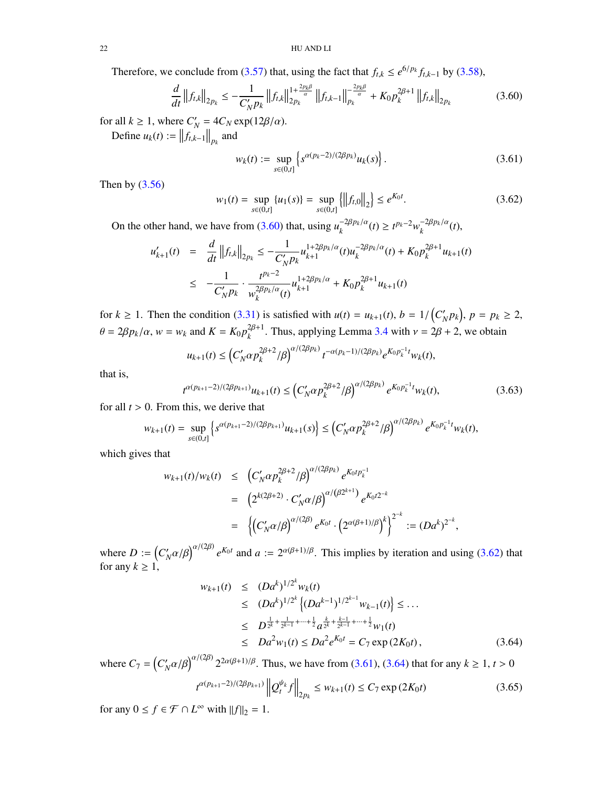## 22 HU AND LI

Therefore, we conclude from [\(3.57\)](#page-20-2) that, using the fact that  $f_{t,k} \leq e^{6/p_k} f_{t,k-1}$  by [\(3.58\)](#page-20-1),

<span id="page-21-0"></span>
$$
\frac{d}{dt} \left\|f_{t,k}\right\|_{2p_k} \leq -\frac{1}{C_N' p_k} \left\|f_{t,k}\right\|_{2p_k}^{1 + \frac{2p_k \beta}{\alpha}} \left\|f_{t,k-1}\right\|_{p_k}^{-\frac{2p_k \beta}{\alpha}} + K_0 p_k^{2\beta+1} \left\|f_{t,k}\right\|_{2p_k} \tag{3.60}
$$

for all  $k \geq 1$ , where  $C'_{k}$  $\alpha_N' = 4C_N \exp(12\beta/\alpha).$ 

Define  $u_k(t) := ||f_{t,k-1}||_{p_k}$  and

<span id="page-21-2"></span>
$$
w_k(t) := \sup_{s \in (0,t]} \left\{ s^{\alpha(p_k - 2)/(2\beta p_k)} u_k(s) \right\}.
$$
 (3.61)

Then by  $(3.56)$ 

<span id="page-21-1"></span>
$$
w_1(t) = \sup_{s \in (0,t]} \{u_1(s)\} = \sup_{s \in (0,t]} \{||f_{t,0}||_2\} \le e^{K_0 t}.
$$
 (3.62)

On the other hand, we have from [\(3.60\)](#page-21-0) that, using  $u_k^{-2\beta p_k/\alpha}(t) \ge t^{p_k-2} w_k^{-2\beta p_k/\alpha}(t)$ ,

$$
u'_{k+1}(t) = \frac{d}{dt} ||f_{t,k}||_{2p_k} \le -\frac{1}{C'_N p_k} u_{k+1}^{1+2\beta p_k/\alpha}(t) u_k^{-2\beta p_k/\alpha}(t) + K_0 p_k^{2\beta+1} u_{k+1}(t)
$$
  

$$
\le -\frac{1}{C'_N p_k} \cdot \frac{t^{p_k-2}}{w_k^{2\beta p_k/\alpha}(t)} u_{k+1}^{1+2\beta p_k/\alpha} + K_0 p_k^{2\beta+1} u_{k+1}(t)
$$

for  $k \ge 1$ . Then the condition [\(3.31\)](#page-15-1) is satisfied with  $u(t) = u_{k+1}(t)$ ,  $b = 1/(C_p^r)$  $\binom{p}{N} p_k, p = p_k \ge 2,$  $\theta = 2\beta p_k/\alpha$ ,  $w = w_k$  and  $K = K_0 p_k^{2\beta+1}$ . Thus, applying Lemma [3.4](#page-15-0) with  $v = 2\beta + 2$ , we obtain

$$
u_{k+1}(t) \leq \left(C'_N \alpha p_k^{2\beta+2} / \beta\right)^{\alpha/(2\beta p_k)} t^{-\alpha(p_k-1)/(2\beta p_k)} e^{K_0 p_k^{-1} t} w_k(t),
$$

that is,

$$
t^{\alpha(p_{k+1}-2)/(2\beta p_{k+1})}u_{k+1}(t) \le \left(C_N'\alpha p_k^{2\beta+2}/\beta\right)^{\alpha/(2\beta p_k)} e^{K_0 p_k^{-1} t} w_k(t),\tag{3.63}
$$

for all  $t > 0$ . From this, we derive that

$$
w_{k+1}(t) = \sup_{s \in (0,t]} \left\{ s^{\alpha(p_{k+1}-2)/(2\beta p_{k+1})} u_{k+1}(s) \right\} \le \left( C_N' \alpha p_k^{2\beta+2} / \beta \right)^{\alpha/(2\beta p_k)} e^{K_0 p_k^{-1} t} w_k(t),
$$

which gives that

<span id="page-21-3"></span>
$$
w_{k+1}(t)/w_k(t) \leq (C'_N \alpha p_k^{2\beta+2}/\beta)^{\alpha/(2\beta p_k)} e^{K_0 t p_k^{-1}}
$$
  
=  $(2^{k(2\beta+2)} \cdot C'_N \alpha/\beta)^{\alpha/(\beta 2^{k+1})} e^{K_0 t 2^{-k}}$   
=  $\left\{ (C'_N \alpha/\beta)^{\alpha/(2\beta)} e^{K_0 t} \cdot (2^{\alpha(\beta+1)/\beta})^k \right\}^{2^{-k}} := (Da^k)^{2^{-k}},$ 

where  $D := (C_{\lambda}^{\prime})$  $\int_N \alpha/\beta$ <sup> $\alpha/(\frac{2\beta}{\beta}) e^{K_0 t}$  and  $a := 2^{\alpha(\beta+1)/\beta}$ . This implies by iteration and using [\(3.62\)](#page-21-1) that</sup> for any  $k \geq 1$ ,

$$
w_{k+1}(t) \le (Da^k)^{1/2^k} w_k(t)
$$
  
\n
$$
\le (Da^k)^{1/2^k} \left\{ (Da^{k-1})^{1/2^{k-1}} w_{k-1}(t) \right\} \le \dots
$$
  
\n
$$
\le D^{\frac{1}{2^k} + \frac{1}{2^{k-1}} + \dots + \frac{1}{2}} a^{\frac{k}{2^k} + \frac{k-1}{2^{k-1}} + \dots + \frac{1}{2}} w_1(t)
$$
  
\n
$$
\le Da^2 w_1(t) \le Da^2 e^{K_0 t} = C_7 \exp(2K_0 t),
$$
 (3.64)

where  $C_7 = \left(C_7\right)$  $\int_N \alpha/\beta \int^{\alpha/(2\beta)} 2^{2\alpha(\beta+1)/\beta}$ . Thus, we have from [\(3.61\)](#page-21-2), [\(3.64\)](#page-21-3) that for any  $k \ge 1$ ,  $t > 0$ 

<span id="page-21-4"></span>
$$
t^{\alpha(p_{k+1}-2)/(2\beta p_{k+1})} \|Q_t^{\psi_k} f\|_{2p_k} \le w_{k+1}(t) \le C_7 \exp(2K_0 t)
$$
 (3.65)

for any  $0 \le f \in \mathcal{F} \cap L^{\infty}$  with  $||f||_2 = 1$ .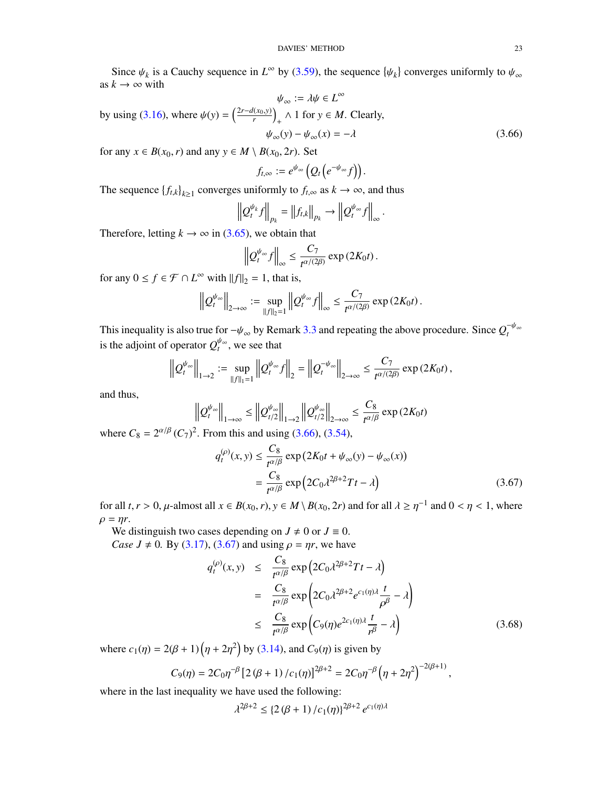Since  $\psi_k$  is a Cauchy sequence in  $L^{\infty}$  by [\(3.59\)](#page-20-4), the sequence  $\{\psi_k\}$  converges uniformly to  $\psi_{\infty}$ as  $k \to \infty$  with

 $\psi_{\infty} := \lambda \psi \in L^{\infty}$ by using [\(3.16\)](#page-12-5), where  $\psi(y) = \left(\frac{2r-d(x_0,y)}{r}\right)_+ \wedge 1$  for  $y \in M$ . Clearly,  $\psi_{\infty}(y) - \psi_{\infty}(x) = -\lambda$  (3.66)

for any  $x \in B(x_0, r)$  and any  $y \in M \setminus B(x_0, 2r)$ . Set

<span id="page-22-0"></span>
$$
f_{t,\infty}:=e^{\psi_{\infty}}\big(Q_t\big(e^{-\psi_{\infty}}f\big)\big).
$$

The sequence  ${f_{t,k}}_{k\geq1}$  converges uniformly to  $f_{t,\infty}$  as  $k \to \infty$ , and thus

$$
\left\| Q_t^{\psi_k} f \right\|_{p_k} = \left\| f_{t,k} \right\|_{p_k} \to \left\| Q_t^{\psi_\infty} f \right\|_{\infty}.
$$

Therefore, letting  $k \to \infty$  in [\(3.65\)](#page-21-4), we obtain that

$$
\left\| Q_t^{\psi_\infty} f \right\|_\infty \leq \frac{C_7}{t^{\alpha/(2\beta)}} \exp\left(2K_0 t\right).
$$

for any  $0 \le f \in \mathcal{F} \cap L^{\infty}$  with  $||f||_2 = 1$ , that is,

$$
\left\| Q_t^{\psi_\infty} \right\|_{2 \to \infty} := \sup_{\|f\|_2 = 1} \left\| Q_t^{\psi_\infty} f \right\|_\infty \leq \frac{C_7}{t^{\alpha/(2\beta)}} \exp\left(2K_0 t\right).
$$

This inequality is also true for  $-\psi_{\infty}$  by Remark [3.3](#page-13-8) and repeating the above procedure. Since  $Q_t^{-\psi_{\infty}}$  *to the edisint of energies*  $Q_t^{\psi_{\infty}}$  *to see that* is the adjoint of operator  $Q_t^{\psi_\infty}$ , we see that

$$
\left\| Q_t^{\psi_{\infty}} \right\|_{1 \to 2} := \sup_{\|f\|_1 = 1} \left\| Q_t^{\psi_{\infty}} f \right\|_2 = \left\| Q_t^{-\psi_{\infty}} \right\|_{2 \to \infty} \le \frac{C_7}{t^{\alpha/(2\beta)}} \exp\left(2K_0 t\right),
$$

and thus,

$$
\left\| Q_t^{\psi_{\infty}} \right\|_{1 \to \infty} \le \left\| Q_{t/2}^{\psi_{\infty}} \right\|_{1 \to 2} \left\| Q_{t/2}^{\psi_{\infty}} \right\|_{2 \to \infty} \le \frac{C_8}{t^{\alpha/\beta}} \exp\left(2K_0 t\right)
$$

where  $C_8 = 2^{\alpha/\beta} (C_7)^2$ . From this and using [\(3.66\)](#page-22-0), [\(3.54\)](#page-19-1),

<span id="page-22-1"></span>
$$
q_t^{(\rho)}(x, y) \le \frac{C_8}{t^{\alpha/\beta}} \exp\left(2K_0 t + \psi_\infty(y) - \psi_\infty(x)\right)
$$
  
= 
$$
\frac{C_8}{t^{\alpha/\beta}} \exp\left(2C_0 \lambda^{2\beta + 2} T t - \lambda\right)
$$
 (3.67)

for all *t*, *r* > 0,  $\mu$ -almost all  $x \in B(x_0, r)$ ,  $y \in M \setminus B(x_0, 2r)$  and for all  $\lambda \ge \eta^{-1}$  and  $0 < \eta < 1$ , where  $\rho = \eta r$ .

We distinguish two cases depending on  $J \neq 0$  or  $J \equiv 0$ . *Case J*  $\neq$  0*.* By [\(3.17\)](#page-13-7), [\(3.67\)](#page-22-1) and using  $\rho = \eta r$ , we have

<span id="page-22-2"></span>
$$
q_t^{(\rho)}(x, y) \leq \frac{C_8}{t^{\alpha/\beta}} \exp\left(2C_0 \lambda^{2\beta+2} Tt - \lambda\right)
$$
  
= 
$$
\frac{C_8}{t^{\alpha/\beta}} \exp\left(2C_0 \lambda^{2\beta+2} e^{c_1(\eta)\lambda} \frac{t}{\rho^{\beta}} - \lambda\right)
$$
  

$$
\leq \frac{C_8}{t^{\alpha/\beta}} \exp\left(C_9(\eta) e^{2c_1(\eta)\lambda} \frac{t}{\rho^{\beta}} - \lambda\right)
$$
(3.68)

where  $c_1(\eta) = 2(\beta + 1)(\eta + 2\eta^2)$  by [\(3.14\)](#page-12-3), and  $C_9(\eta)$  is given by

$$
C_9(\eta) = 2C_0 \eta^{-\beta} \left[ 2(\beta + 1) / c_1(\eta) \right]^{2\beta + 2} = 2C_0 \eta^{-\beta} \left( \eta + 2\eta^2 \right)^{-2(\beta + 1)},
$$

where in the last inequality we have used the following:

$$
\lambda^{2\beta+2} \leq \{2(\beta+1)/c_1(\eta)\}^{2\beta+2} e^{c_1(\eta)\lambda}
$$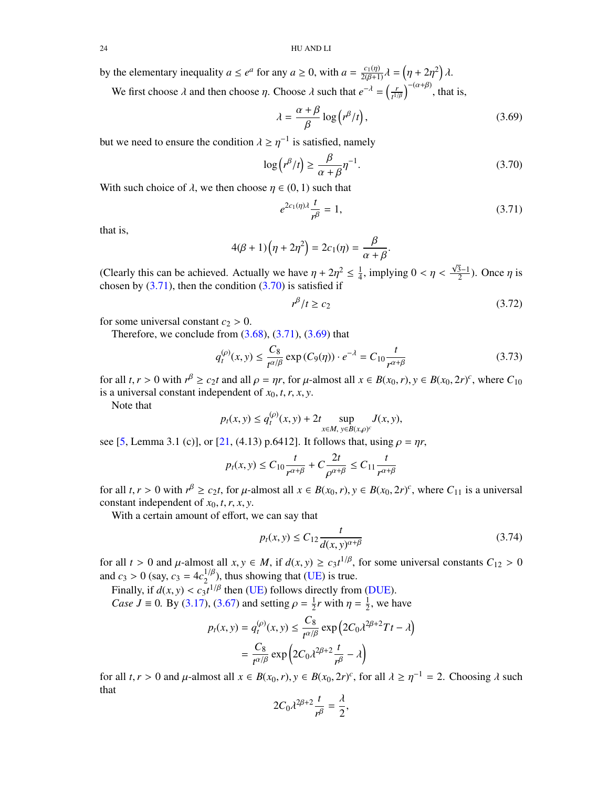by the elementary inequality  $a \le e^a$  for any  $a \ge 0$ , with  $a = \frac{c_1(\eta)}{2(\beta+1)}\lambda = (\eta + 2\eta^2)\lambda$ .

We first choose  $\lambda$  and then choose  $\eta$ . Choose  $\lambda$  such that  $e^{-\lambda} = \left(\frac{r}{t^{1/\lambda}}\right)^{\frac{1}{2}}$  $\left(\frac{r}{t^{1/\beta}}\right)^{-(\alpha+\beta)}$ , that is,

<span id="page-23-2"></span>
$$
\lambda = \frac{\alpha + \beta}{\beta} \log (r^{\beta}/t),\tag{3.69}
$$

but we need to ensure the condition  $\lambda \geq \eta^{-1}$  is satisfied, namely

<span id="page-23-1"></span>
$$
\log (r^{\beta}/t) \ge \frac{\beta}{\alpha + \beta} \eta^{-1}.
$$
\n(3.70)

With such choice of  $\lambda$ , we then choose  $\eta \in (0, 1)$  such that

<span id="page-23-0"></span>
$$
e^{2c_1(\eta)\lambda}\frac{t}{r^{\beta}} = 1,\tag{3.71}
$$

that is,

$$
4(\beta + 1)\left(\eta + 2\eta^2\right) = 2c_1(\eta) = \frac{\beta}{\alpha + \beta}
$$

(Clearly this can be achieved. Actually we have  $\eta + 2\eta^2 \le \frac{1}{4}$ <br>chosen by (3.71), then the condition (3.70) is satisfied if  $\frac{1}{4}$ , implying  $0 < \eta <$  $\sqrt{3}-1$  $\frac{3-1}{2}$ ). Once  $\eta$  is chosen by  $(3.71)$ , then the condition  $(3.70)$  is satisfied if

$$
r^{\beta}/t \ge c_2 \tag{3.72}
$$

for some universal constant  $c_2 > 0$ .

Therefore, we conclude from  $(3.68)$ ,  $(3.71)$ ,  $(3.69)$  that

$$
q_t^{(\rho)}(x, y) \le \frac{C_8}{t^{\alpha/\beta}} \exp(C_9(\eta)) \cdot e^{-\lambda} = C_{10} \frac{t}{t^{\alpha+\beta}}
$$
(3.73)

for all  $t, r > 0$  with  $r^{\beta} \ge c_2 t$  and all  $\rho = \eta r$ , for  $\mu$ -almost all  $x \in B(x_0, r), y \in B(x_0, 2r)^c$ , where  $C_{10}$  is a universal constant independent of  $x_0, t, r, y$ is a universal constant independent of  $x_0, t, r, x, y$ .

Note that

$$
p_t(x, y) \le q_t^{(\rho)}(x, y) + 2t \sup_{x \in M, y \in B(x, \rho)^c} J(x, y),
$$

see [\[5,](#page-24-6) Lemma 3.1 (c)], or [\[21,](#page-25-12) (4.13) p.6412]. It follows that, using  $\rho = \eta r$ ,

$$
p_t(x, y) \le C_{10} \frac{t}{r^{\alpha+\beta}} + C \frac{2t}{\rho^{\alpha+\beta}} \le C_{11} \frac{t}{r^{\alpha+\beta}}
$$

for all  $t, r > 0$  with  $r^{\beta} \ge c_2 t$ , for  $\mu$ -almost all  $x \in B(x_0, r), y \in B(x_0, 2r)^c$ , where  $C_{11}$  is a universal constant independent of  $x_0, t, r, y$ constant independent of  $x_0$ ,  $t$ ,  $r$ ,  $x$ ,  $y$ .

With a certain amount of effort, we can say that

$$
p_t(x, y) \le C_{12} \frac{t}{d(x, y)^{\alpha + \beta}}
$$
\n(3.74)

for all  $t > 0$  and  $\mu$ -almost all  $x, y \in M$ , if  $d(x, y) \ge c_3 t^{1/\beta}$ , for some universal constants  $C_{12} > 0$ <br>and  $c_1 > 0$  (say  $c_2 = 4a^{1/\beta}$ ), thus showing that (LE) is true. and *c*<sub>3</sub> > 0 (say, *c*<sub>3</sub> =  $4c_2^{1/\beta}$ ), thus showing that [\(UE\)](#page-3-3) is true.<br>Finally, if  $d(x, y) \leq a_2 t^{1/\beta}$  than (UE) follows directly from

Finally, if  $d(x, y) < c_3 t^{1/\beta}$  then [\(UE\)](#page-3-3) follows directly from [\(DUE\)](#page-3-2).<br>Case  $I = 0$ , By (3.17), (3.67) and setting  $\rho = \frac{1}{2}r$  with  $n = \frac{1}{2}$  we h *Case J* = 0. By [\(3.17\)](#page-13-7), [\(3.67\)](#page-22-1) and setting  $\rho = \frac{1}{2}$  $\frac{1}{2}r$  with  $\eta = \frac{1}{2}$  $\frac{1}{2}$ , we have

$$
p_t(x, y) = q_t^{(\rho)}(x, y) \le \frac{C_8}{t^{\alpha/\beta}} \exp\left(2C_0 \lambda^{2\beta + 2} Tt - \lambda\right)
$$

$$
= \frac{C_8}{t^{\alpha/\beta}} \exp\left(2C_0 \lambda^{2\beta + 2} \frac{t}{t^{\beta}} - \lambda\right)
$$

for all *t*, *r* > 0 and  $\mu$ -almost all  $x \in B(x_0, r)$ ,  $y \in B(x_0, 2r)^c$ , for all  $\lambda \ge \eta^{-1} = 2$ . Choosing  $\lambda$  such that that

$$
2C_0\lambda^{2\beta+2}\frac{t}{r^{\beta}}=\frac{\lambda}{2},
$$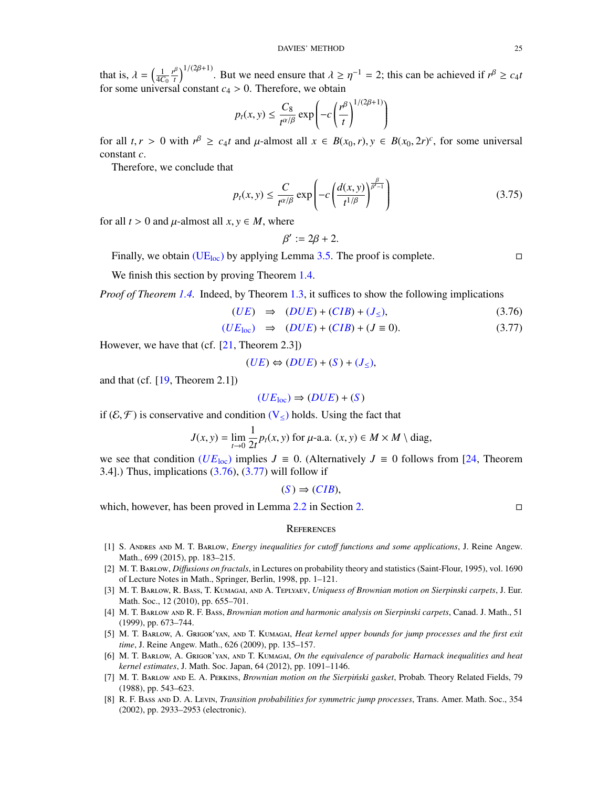that is,  $\lambda = \left(\frac{1}{4C_0}\right)$  $\left(\frac{r^{\beta}}{t}\right)^{1/(2\beta+1)}$ . But we need ensure that  $\lambda \geq \eta^{-1} = 2$ ; this can be achieved if  $r^{\beta} \geq c_4 t$ for some universal constant  $c_4 > 0$ . Therefore, we obtain

$$
p_t(x, y) \le \frac{C_8}{t^{\alpha/\beta}} \exp\left(-c\left(\frac{r^{\beta}}{t}\right)^{1/(2\beta+1)}\right)
$$

for all  $t, r > 0$  with  $r^{\beta} \ge c_4 t$  and  $\mu$ -almost all  $x \in B(x_0, r), y \in B(x_0, 2r)^c$ , for some universal constant *c* constant *c*.

Therefore, we conclude that

<span id="page-24-9"></span>
$$
p_t(x, y) \le \frac{C}{t^{\alpha/\beta}} \exp\left(-c\left(\frac{d(x, y)}{t^{1/\beta}}\right)^{\frac{\beta}{\beta'-1}}\right) \tag{3.75}
$$

for all  $t > 0$  and  $\mu$ -almost all  $x, y \in M$ , where

$$
\beta' := 2\beta + 2.
$$

Finally, we obtain [\(UE](#page-3-4)<sub>loc</sub>) by applying Lemma [3.5.](#page-16-0) The proof is complete.

We finish this section by proving Theorem [1.4.](#page-4-1)

*Proof of Theorem [1.4.](#page-4-1)* Indeed, by Theorem [1.3,](#page-4-3) it suffices to show the following implications

<span id="page-24-10"></span>
$$
(UE) \Rightarrow (DUE) + (CIB) + (J_{\leq}), \tag{3.76}
$$

$$
(UEloc) \Rightarrow (DUE) + (CIB) + (J \equiv 0). \tag{3.77}
$$

However, we have that (cf. [\[21,](#page-25-12) Theorem 2.3])

$$
(UE) \Leftrightarrow (DUE) + (S) + (J_{\leq}),
$$

and that (cf.  $[19,$  Theorem 2.1])

$$
(UE_{\text{loc}}) \Rightarrow (DUE) + (S)
$$

if  $(\mathcal{E}, \mathcal{F})$  is conservative and condition  $(V_{\leq})$  $(V_{\leq})$  holds. Using the fact that

$$
J(x, y) = \lim_{t \to 0} \frac{1}{2t} p_t(x, y) \text{ for } \mu\text{-a.a. } (x, y) \in M \times M \setminus \text{diag},
$$

we see that condition ( $UE<sub>loc</sub>$  $UE<sub>loc</sub>$ ) implies  $J \equiv 0$ . (Alternatively  $J \equiv 0$  follows from [\[24,](#page-25-1) Theorem 3.4].) Thus, implications  $(3.76)$ ,  $(3.77)$  will follow if

$$
(S) \Rightarrow (CIB),
$$

which, however, has been proved in Lemma [2.2](#page-6-4) in Section [2.](#page-4-0)

### <span id="page-24-0"></span>**REFERENCES**

- <span id="page-24-8"></span>[1] S. Andres and M. T. Barlow, *Energy inequalities for cuto*ff *functions and some applications*, J. Reine Angew. Math., 699 (2015), pp. 183–215.
- <span id="page-24-1"></span>[2] M. T. Barlow, *Di*ff*usions on fractals*, in Lectures on probability theory and statistics (Saint-Flour, 1995), vol. 1690 of Lecture Notes in Math., Springer, Berlin, 1998, pp. 1–121.
- <span id="page-24-2"></span>[3] M. T. Barlow, R. Bass, T. Kumagai, and A. Teplyaev, *Uniquess of Brownian motion on Sierpinski carpets*, J. Eur. Math. Soc., 12 (2010), pp. 655–701.
- <span id="page-24-3"></span>[4] M. T. Barlow and R. F. Bass, *Brownian motion and harmonic analysis on Sierpinski carpets*, Canad. J. Math., 51 (1999), pp. 673–744.
- <span id="page-24-6"></span>[5] M. T. Barlow, A. Grigor'YAN, AND T. KUMAGAI, *Heat kernel upper bounds for jump processes and the first exit time*, J. Reine Angew. Math., 626 (2009), pp. 135–157.
- <span id="page-24-5"></span>[6] M. T. Barlow, A. Grigor'yan, and T. Kumagai, *On the equivalence of parabolic Harnack inequalities and heat kernel estimates*, J. Math. Soc. Japan, 64 (2012), pp. 1091–1146.
- <span id="page-24-4"></span>[7] M. T. BARLOW AND E. A. PERKINS, *Brownian motion on the Sierpiński gasket*, Probab. Theory Related Fields, 79 (1988), pp. 543–623.
- <span id="page-24-7"></span>[8] R. F. Bass and D. A. Levin, *Transition probabilities for symmetric jump processes*, Trans. Amer. Math. Soc., 354 (2002), pp. 2933–2953 (electronic).